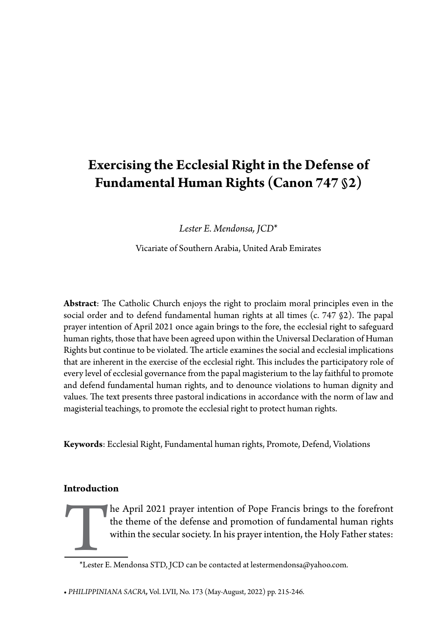# **Exercising the Ecclesial Right in the Defense of Fundamental Human Rights (Canon 747 §2)**

*Lester E. Mendonsa, JCD*\*

Vicariate of Southern Arabia, United Arab Emirates

**Abstract**: The Catholic Church enjoys the right to proclaim moral principles even in the social order and to defend fundamental human rights at all times (c. 747 §2). The papal prayer intention of April 2021 once again brings to the fore, the ecclesial right to safeguard human rights, those that have been agreed upon within the Universal Declaration of Human Rights but continue to be violated. The article examines the social and ecclesial implications that are inherent in the exercise of the ecclesial right. This includes the participatory role of every level of ecclesial governance from the papal magisterium to the lay faithful to promote and defend fundamental human rights, and to denounce violations to human dignity and values. The text presents three pastoral indications in accordance with the norm of law and magisterial teachings, to promote the ecclesial right to protect human rights.

**Keywords**: Ecclesial Right, Fundamental human rights, Promote, Defend, Violations

## **Introduction**

The April 2021 prayer intention of Pope Francis brings to the forefront<br>the theme of the defense and promotion of fundamental human rights<br>within the secular society. In his prayer intention, the Holy Father states:<br>\*Leste the theme of the defense and promotion of fundamental human rights within the secular society. In his prayer intention, the Holy Father states:

<sup>\*</sup>Lester E. Mendonsa STD, JCD can be contacted at lestermendonsa@yahoo.com.

**<sup>•</sup>** *PHILIPPINIANA SACRA,* Vol. LVII, No. 173 (May-August, 2022) pp. 215-246.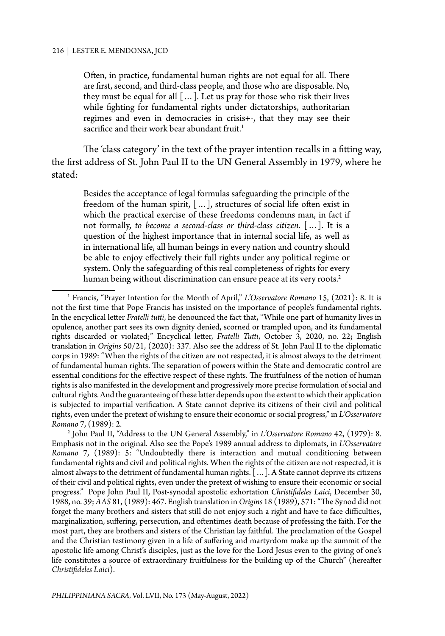Often, in practice, fundamental human rights are not equal for all. There are first, second, and third-class people, and those who are disposable. No, they must be equal for all  $[...]$ . Let us pray for those who risk their lives while fighting for fundamental rights under dictatorships, authoritarian regimes and even in democracies in crisis+-, that they may see their sacrifice and their work bear abundant fruit.<sup>1</sup>

The 'class category' in the text of the prayer intention recalls in a fitting way, the first address of St. John Paul II to the UN General Assembly in 1979, where he stated:

Besides the acceptance of legal formulas safeguarding the principle of the freedom of the human spirit, […], structures of social life often exist in which the practical exercise of these freedoms condemns man, in fact if not formally, *to become a second-class or third-class citizen*. […]. It is a question of the highest importance that in internal social life, as well as in international life, all human beings in every nation and country should be able to enjoy effectively their full rights under any political regime or system. Only the safeguarding of this real completeness of rights for every human being without discrimination can ensure peace at its very roots.<sup>2</sup>

2 John Paul II, "Address to the UN General Assembly," in *L'Osservatore Romano* 42, (1979): 8. Emphasis not in the original. Also see the Pope's 1989 annual address to diplomats, in *L'Osservatore Romano* 7, (1989): 5: "Undoubtedly there is interaction and mutual conditioning between fundamental rights and civil and political rights. When the rights of the citizen are not respected, it is almost always to the detriment of fundamental human rights. […]. A State cannot deprive its citizens of their civil and political rights, even under the pretext of wishing to ensure their economic or social progress." Pope John Paul II, Post-synodal apostolic exhortation *Christifideles Laici*, December 30, 1988, no. 39; *AAS* 81, (1989): 467. English translation in *Origins* 18 (1989), 571: "The Synod did not forget the many brothers and sisters that still do not enjoy such a right and have to face difficulties, marginalization, suffering, persecution, and oftentimes death because of professing the faith. For the most part, they are brothers and sisters of the Christian lay faithful. The proclamation of the Gospel and the Christian testimony given in a life of suffering and martyrdom make up the summit of the apostolic life among Christ's disciples, just as the love for the Lord Jesus even to the giving of one's life constitutes a source of extraordinary fruitfulness for the building up of the Church" (hereafter *Christifideles Laici*).

<sup>&</sup>lt;sup>1</sup> Francis, "Prayer Intention for the Month of April," *L'Osservatore Romano* 15, (2021): 8. It is not the first time that Pope Francis has insisted on the importance of people's fundamental rights. In the encyclical letter *Fratelli tutti*, he denounced the fact that, "While one part of humanity lives in opulence, another part sees its own dignity denied, scorned or trampled upon, and its fundamental rights discarded or violated;" Encyclical letter, *Fratelli Tutti*, October 3, 2020, no. 22; English translation in *Origins* 50/21, (2020): 337. Also see the address of St. John Paul II to the diplomatic corps in 1989: "When the rights of the citizen are not respected, it is almost always to the detriment of fundamental human rights. The separation of powers within the State and democratic control are essential conditions for the effective respect of these rights. The fruitfulness of the notion of human rights is also manifested in the development and progressively more precise formulation of social and cultural rights. And the guaranteeing of these latter depends upon the extent to which their application is subjected to impartial verification. A State cannot deprive its citizens of their civil and political rights, even under the pretext of wishing to ensure their economic or social progress," in *L'Osservatore Romano* 7, (1989): 2.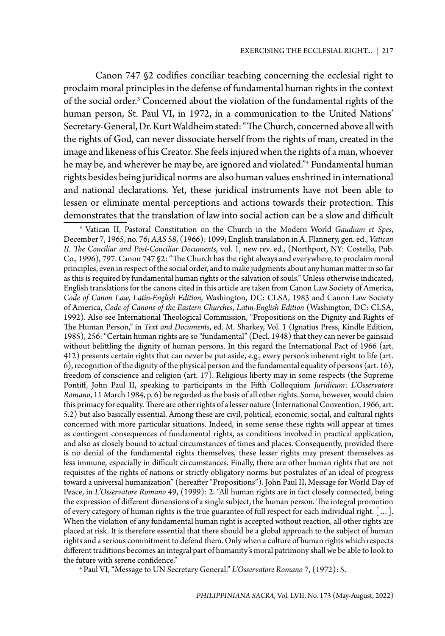Canon 747 §2 codifies conciliar teaching concerning the ecclesial right to proclaim moral principles in the defense of fundamental human rights in the context of the social order.<sup>3</sup> Concerned about the violation of the fundamental rights of the human person, St. Paul VI, in 1972, in a communication to the United Nations' Secretary-General, Dr. Kurt Waldheim stated: "The Church, concerned above all with the rights of God, can never dissociate herself from the rights of man, created in the image and likeness of his Creator. She feels injured when the rights of a man, whoever he may be, and wherever he may be, are ignored and violated."4 Fundamental human rights besides being juridical norms are also human values enshrined in international and national declarations. Yet, these juridical instruments have not been able to lessen or eliminate mental perceptions and actions towards their protection. This demonstrates that the translation of law into social action can be a slow and difficult

4 Paul VI, "Message to UN Secretary General," *L'Osservatore Romano* 7, (1972): 5.

<sup>3</sup> Vatican II, Pastoral Constitution on the Church in the Modern World *Gaudium et Spes*, December 7, 1965, no. 76; *AAS* 58, (1966): 1099; English translation in A. Flannery, gen. ed., *Vatican II. The Conciliar and Post-Conciliar Documents*, vol. 1, new rev. ed., (Northport, NY: Costello, Pub. Co., 1996), 797. Canon 747 §2: "The Church has the right always and everywhere, to proclaim moral principles, even in respect of the social order, and to make judgments about any human matter in so far as this is required by fundamental human rights or the salvation of souls." Unless otherwise indicated, English translations for the canons cited in this article are taken from Canon Law Society of America, *Code of Canon Law, Latin-English Edition*, Washington, DC: CLSA, 1983 and Canon Law Society of America, *Code of Canons of the Eastern Churches*, *Latin-English Edition* (Washington, DC: CLSA, 1992). Also see International Theological Commission, "Propositions on the Dignity and Rights of The Human Person," in *Text and Documents*, ed. M. Sharkey, Vol. 1 (Ignatius Press, Kindle Edition, 1985), 256: "Certain human rights are so "fundamental" (Decl. 1948) that they can never be gainsaid without belittling the dignity of human persons. In this regard the International Pact of 1966 (art. 412) presents certain rights that can never be put aside, e.g., every person's inherent right to life (art. 6), recognition of the dignity of the physical person and the fundamental equality of persons (art. 16), freedom of conscience and religion (art. 17). Religious liberty may in some respects (the Supreme Pontiff, John Paul II, speaking to participants in the Fifth Colloquium *Juridicum*: *L'Osservatore Romano*, 11 March 1984, p. 6) be regarded as the basis of all other rights. Some, however, would claim this primacy for equality. There are other rights of a lesser nature (International Convention, 1966, art. 5.2) but also basically essential. Among these are civil, political, economic, social, and cultural rights concerned with more particular situations. Indeed, in some sense these rights will appear at times as contingent consequences of fundamental rights, as conditions involved in practical application, and also as closely bound to actual circumstances of times and places. Consequently, provided there is no denial of the fundamental rights themselves, these lesser rights may present themselves as less immune, especially in difficult circumstances. Finally, there are other human rights that are not requisites of the rights of nations or strictly obligatory norms but postulates of an ideal of progress toward a universal humanization" (hereafter "Propositions"). John Paul II, Message for World Day of Peace, in *L'Osservatore Romano* 49, (1999): 2. "All human rights are in fact closely connected, being the expression of different dimensions of a single subject, the human person. The integral promotion of every category of human rights is the true guarantee of full respect for each individual right. […]. When the violation of any fundamental human right is accepted without reaction, all other rights are placed at risk. It is therefore essential that there should be a global approach to the subject of human rights and a serious commitment to defend them. Only when a culture of human rights which respects different traditions becomes an integral part of humanity's moral patrimony shall we be able to look to the future with serene confidence."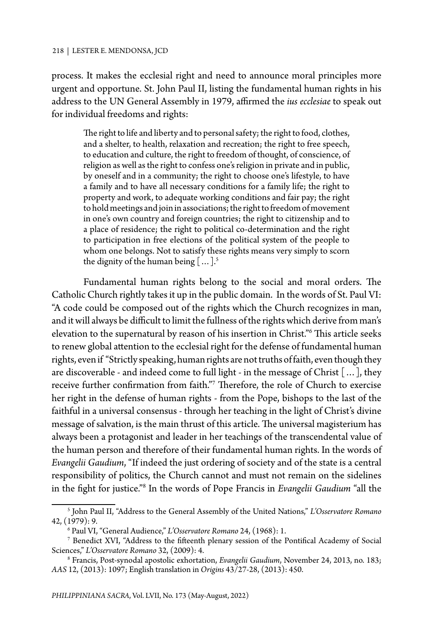process. It makes the ecclesial right and need to announce moral principles more urgent and opportune. St. John Paul II, listing the fundamental human rights in his address to the UN General Assembly in 1979, affirmed the *ius ecclesiae* to speak out for individual freedoms and rights:

The right to life and liberty and to personal safety; the right to food, clothes, and a shelter, to health, relaxation and recreation; the right to free speech, to education and culture, the right to freedom of thought, of conscience, of religion as well as the right to confess one's religion in private and in public, by oneself and in a community; the right to choose one's lifestyle, to have a family and to have all necessary conditions for a family life; the right to property and work, to adequate working conditions and fair pay; the right to hold meetings and join in associations; the right to freedom of movement in one's own country and foreign countries; the right to citizenship and to a place of residence; the right to political co-determination and the right to participation in free elections of the political system of the people to whom one belongs. Not to satisfy these rights means very simply to scorn the dignity of the human being  $[\dots]$ .<sup>5</sup>

Fundamental human rights belong to the social and moral orders. The Catholic Church rightly takes it up in the public domain. In the words of St. Paul VI: "A code could be composed out of the rights which the Church recognizes in man, and it will always be difficult to limit the fullness of the rights which derive from man's elevation to the supernatural by reason of his insertion in Christ."6 This article seeks to renew global attention to the ecclesial right for the defense of fundamental human rights, even if "Strictly speaking, human rights are not truths of faith, even though they are discoverable - and indeed come to full light - in the message of Christ […], they receive further confirmation from faith."7 Therefore, the role of Church to exercise her right in the defense of human rights - from the Pope, bishops to the last of the faithful in a universal consensus - through her teaching in the light of Christ's divine message of salvation, is the main thrust of this article. The universal magisterium has always been a protagonist and leader in her teachings of the transcendental value of the human person and therefore of their fundamental human rights. In the words of *Evangelii Gaudium*, "If indeed the just ordering of society and of the state is a central responsibility of politics, the Church cannot and must not remain on the sidelines in the fight for justice."<sup>8</sup> In the words of Pope Francis in *Evangelii Gaudium* "all the

<sup>5</sup> John Paul II, "Address to the General Assembly of the United Nations," *L'Osservatore Romano*  42, (1979): 9.

<sup>6</sup> Paul VI, "General Audience," *L'Osservatore Romano* 24, (1968): 1.

 $^7$  Benedict XVI, "Address to the fifteenth plenary session of the Pontifical Academy of Social Sciences," *L'Osservatore Romano* 32, (2009): 4.

<sup>8</sup> Francis, Post-synodal apostolic exhortation, *Evangelii Gaudium*, November 24, 2013, no. 183; *AAS* 12, (2013): 1097; English translation in *Origins* 43/27-28, (2013): 450.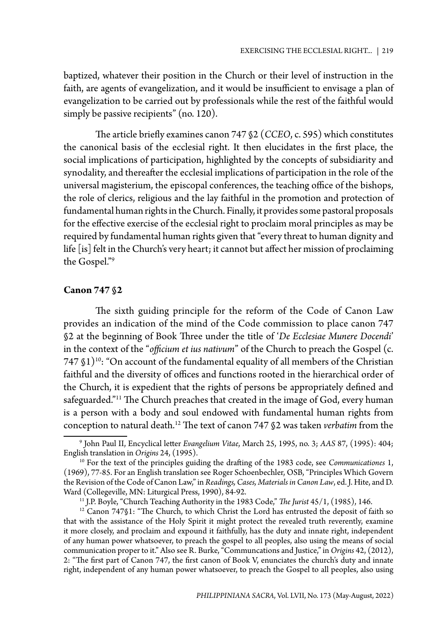baptized, whatever their position in the Church or their level of instruction in the faith, are agents of evangelization, and it would be insufficient to envisage a plan of evangelization to be carried out by professionals while the rest of the faithful would simply be passive recipients" (no. 120).

The article briefly examines canon 747 §2 (*CCEO*, c. 595) which constitutes the canonical basis of the ecclesial right. It then elucidates in the first place, the social implications of participation, highlighted by the concepts of subsidiarity and synodality, and thereafter the ecclesial implications of participation in the role of the universal magisterium, the episcopal conferences, the teaching office of the bishops, the role of clerics, religious and the lay faithful in the promotion and protection of fundamental human rights in the Church. Finally, it provides some pastoral proposals for the effective exercise of the ecclesial right to proclaim moral principles as may be required by fundamental human rights given that "every threat to human dignity and life [is] felt in the Church's very heart; it cannot but affect her mission of proclaiming the Gospel."9

## **Canon 747 §2**

The sixth guiding principle for the reform of the Code of Canon Law provides an indication of the mind of the Code commission to place canon 747 §2 at the beginning of Book Three under the title of '*De Ecclesiae Munere Docendi*' in the context of the "*officium et ius nativum*" of the Church to preach the Gospel (c.  $747$   $\S$ 1)<sup>10</sup>: "On account of the fundamental equality of all members of the Christian faithful and the diversity of offices and functions rooted in the hierarchical order of the Church, it is expedient that the rights of persons be appropriately defined and safeguarded."<sup>11</sup> The Church preaches that created in the image of God, every human is a person with a body and soul endowed with fundamental human rights from conception to natural death.12 The text of canon 747 §2 was taken *verbatim* from the

<sup>9</sup> John Paul II, Encyclical letter *Evangelium Vitae*, March 25, 1995, no. 3; *AAS* 87, (1995): 404; English translation in *Origins* 24, (1995).<br><sup>10</sup> For the text of the principles guiding the drafting of the 1983 code, see *Communicationes* 1,

<sup>(1969), 77-85.</sup> For an English translation see Roger Schoenbechler, OSB, "Principles Which Govern the Revision of the Code of Canon Law," in *Readings, Cases, Materials in Canon Law*, ed. J. Hite, and D.

<sup>&</sup>lt;sup>11</sup> J.P. Boyle, "Church Teaching Authority in the 1983 Code," *The Jurist* 45/1, (1985), 146.

 $12$  Canon 747§1: "The Church, to which Christ the Lord has entrusted the deposit of faith so that with the assistance of the Holy Spirit it might protect the revealed truth reverently, examine it more closely, and proclaim and expound it faithfully, has the duty and innate right, independent of any human power whatsoever, to preach the gospel to all peoples, also using the means of social communication proper to it." Also see R. Burke, "Communcations and Justice," in *Origins* 42, (2012), 2: "The first part of Canon 747, the first canon of Book V, enunciates the church's duty and innate right, independent of any human power whatsoever, to preach the Gospel to all peoples, also using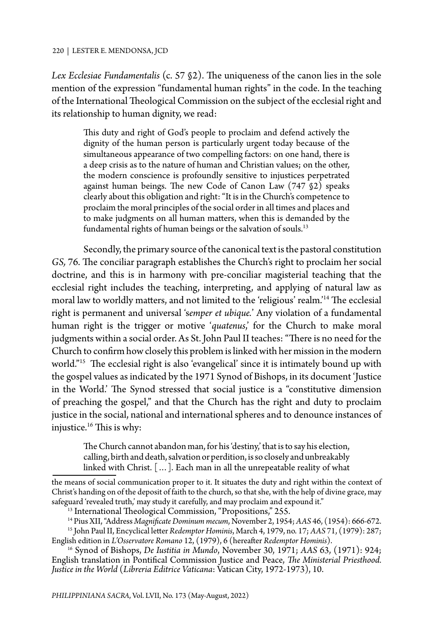#### 220 | LESTER E. MENDONSA, JCD

*Lex Ecclesiae Fundamentalis* (c. 57 §2). The uniqueness of the canon lies in the sole mention of the expression "fundamental human rights" in the code. In the teaching of the International Theological Commission on the subject of the ecclesial right and its relationship to human dignity, we read:

This duty and right of God's people to proclaim and defend actively the dignity of the human person is particularly urgent today because of the simultaneous appearance of two compelling factors: on one hand, there is a deep crisis as to the nature of human and Christian values; on the other, the modern conscience is profoundly sensitive to injustices perpetrated against human beings. The new Code of Canon Law (747 §2) speaks clearly about this obligation and right: "It is in the Church's competence to proclaim the moral principles of the social order in all times and places and to make judgments on all human matters, when this is demanded by the fundamental rights of human beings or the salvation of souls.<sup>13</sup>

Secondly, the primary source of the canonical text is the pastoral constitution *GS,* 76. The conciliar paragraph establishes the Church's right to proclaim her social doctrine, and this is in harmony with pre-conciliar magisterial teaching that the ecclesial right includes the teaching, interpreting, and applying of natural law as moral law to worldly matters, and not limited to the 'religious' realm.'14 The ecclesial right is permanent and universal 's*emper et ubique.*' Any violation of a fundamental human right is the trigger or motive 'quatenus,' for the Church to make moral judgments within a social order. As St. John Paul II teaches: "There is no need for the Church to confirm how closely this problem is linked with her mission in the modern world."15 The ecclesial right is also 'evangelical' since it is intimately bound up with the gospel values as indicated by the 1971 Synod of Bishops, in its document 'Justice in the World.' The Synod stressed that social justice is a "constitutive dimension of preaching the gospel," and that the Church has the right and duty to proclaim justice in the social, national and international spheres and to denounce instances of injustice.16 This is why:

The Church cannot abandon man, for his 'destiny,' that is to say his election, calling, birth and death, salvation or perdition, is so closely and unbreakably linked with Christ. […]. Each man in all the unrepeatable reality of what

the means of social communication proper to it. It situates the duty and right within the context of Christ's handing on of the deposit of faith to the church, so that she, with the help of divine grace, may safeguard 'revealed truth,' may study it carefully, and may proclaim and expound it."

<sup>13</sup> International Theological Commission, "Propositions," 255.

<sup>14</sup> Pius XII, "Address *Magnificate Dominum mecum*, November 2, 1954; *AAS* 46, (1954): 666-672.

<sup>15</sup> John Paul II, Encyclical letter *Redemptor Hominis*, March 4, 1979, no. 17; *AAS* 71, (1979): 287; English edition in *L'Osservatore Romano* 12, (1979), 6 (hereafter *Redemptor Hominis*).

<sup>16</sup> Synod of Bishops, *De Iustitia in Mundo*, November 30, 1971; *AAS* 63, (1971): 924; English translation in Pontifical Commission Justice and Peace, *The Ministerial Priesthood. Justice in the World* (*Libreria Editrice Vaticana*: Vatican City, 1972-1973), 10.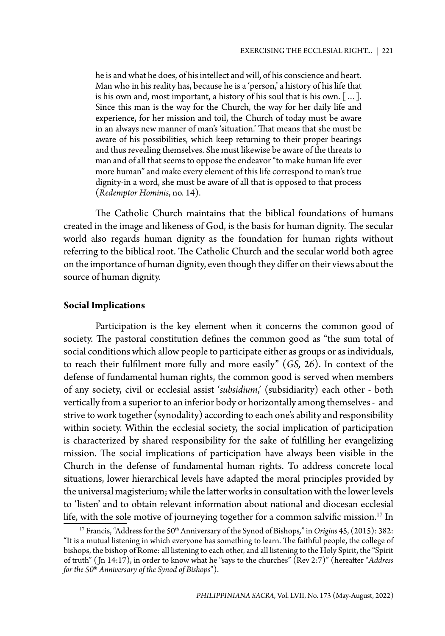he is and what he does, of his intellect and will, of his conscience and heart. Man who in his reality has, because he is a 'person,' a history of his life that is his own and, most important, a history of his soul that is his own. […]. Since this man is the way for the Church, the way for her daily life and experience, for her mission and toil, the Church of today must be aware in an always new manner of man's 'situation.' That means that she must be aware of his possibilities, which keep returning to their proper bearings and thus revealing themselves. She must likewise be aware of the threats to man and of all that seems to oppose the endeavor "to make human life ever more human" and make every element of this life correspond to man's true dignity-in a word, she must be aware of all that is opposed to that process (*Redemptor Hominis*, no. 14).

The Catholic Church maintains that the biblical foundations of humans created in the image and likeness of God, is the basis for human dignity. The secular world also regards human dignity as the foundation for human rights without referring to the biblical root. The Catholic Church and the secular world both agree on the importance of human dignity, even though they differ on their views about the source of human dignity.

#### **Social Implications**

Participation is the key element when it concerns the common good of society. The pastoral constitution defines the common good as "the sum total of social conditions which allow people to participate either as groups or as individuals, to reach their fulfilment more fully and more easily" (*GS,* 26). In context of the defense of fundamental human rights, the common good is served when members of any society, civil or ecclesial assist '*subsidium*,' (subsidiarity) each other - both vertically from a superior to an inferior body or horizontally among themselves - and strive to work together (synodality) according to each one's ability and responsibility within society. Within the ecclesial society, the social implication of participation is characterized by shared responsibility for the sake of fulfilling her evangelizing mission. The social implications of participation have always been visible in the Church in the defense of fundamental human rights. To address concrete local situations, lower hierarchical levels have adapted the moral principles provided by the universal magisterium; while the latter works in consultation with the lower levels to 'listen' and to obtain relevant information about national and diocesan ecclesial life, with the sole motive of journeying together for a common salvific mission.17 In 17 Francis, "Address for the 50th Anniversary of the Synod of Bishops*,*" in *Origins* 45, (2015): 382:

<sup>&</sup>quot;It is a mutual listening in which everyone has something to learn. The faithful people, the college of bishops, the bishop of Rome: all listening to each other, and all listening to the Holy Spirit, the "Spirit of truth" ( Jn 14:17), in order to know what he "says to the churches" (Rev 2:7)" (hereafter "*Address for the 50th Anniversary of the Synod of Bishops*").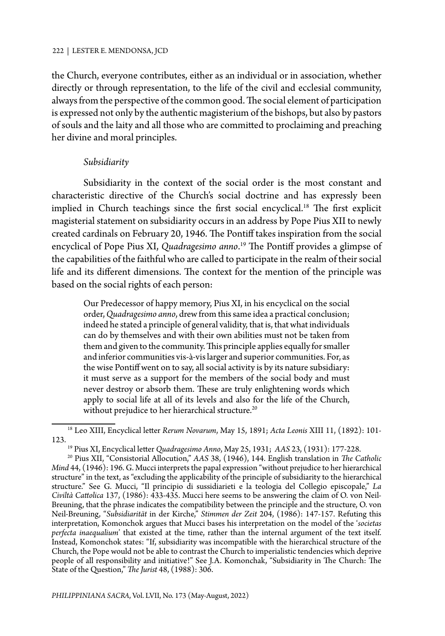the Church, everyone contributes, either as an individual or in association, whether directly or through representation, to the life of the civil and ecclesial community, always from the perspective of the common good. The social element of participation is expressed not only by the authentic magisterium of the bishops, but also by pastors of souls and the laity and all those who are committed to proclaiming and preaching her divine and moral principles.

## *Subsidiarity*

Subsidiarity in the context of the social order is the most constant and characteristic directive of the Church's social doctrine and has expressly been implied in Church teachings since the first social encyclical.<sup>18</sup> The first explicit magisterial statement on subsidiarity occurs in an address by Pope Pius XII to newly created cardinals on February 20, 1946. The Pontiff takes inspiration from the social encyclical of Pope Pius XI, *Quadragesimo anno*. 19 The Pontiff provides a glimpse of the capabilities of the faithful who are called to participate in the realm of their social life and its different dimensions. The context for the mention of the principle was based on the social rights of each person:

Our Predecessor of happy memory, Pius XI, in his encyclical on the social order, *Quadragesimo anno*, drew from this same idea a practical conclusion; indeed he stated a principle of general validity, that is, that what individuals can do by themselves and with their own abilities must not be taken from them and given to the community. This principle applies equally for smaller and inferior communities vis-à-vis larger and superior communities. For, as the wise Pontiff went on to say, all social activity is by its nature subsidiary: it must serve as a support for the members of the social body and must never destroy or absorb them. These are truly enlightening words which apply to social life at all of its levels and also for the life of the Church, without prejudice to her hierarchical structure.<sup>20</sup>

<sup>18</sup> Leo XIII, Encyclical letter *Rerum Novarum*, May 15, 1891; *Acta Leonis* XIII 11, (1892): 101- 123.

<sup>19</sup> Pius XI, Encyclical letter *Quadragesimo Anno*, May 25, 1931; *AAS* 23, (1931): 177-228.

<sup>20</sup> Pius XII, "Consistorial Allocution," *AAS* 38, (1946), 144. English translation in *The Catholic Mind* 44, (1946): 196. G. Mucci interprets the papal expression "without prejudice to her hierarchical structure" in the text, as "excluding the applicability of the principle of subsidiarity to the hierarchical structure." See G. Mucci, "Il principio di sussidiarieti e la teologia del Collegio episcopale," *La Civiltà Cattolica* 137, (1986): 433-435. Mucci here seems to be answering the claim of O. von Neil-Breuning, that the phrase indicates the compatibility between the principle and the structure, O. von Neil-Breuning, "*Subsidiarität* in der Kirche," *Stimmen der Zeit* 204, (1986): 147-157. Refuting this interpretation, Komonchok argues that Mucci bases his interpretation on the model of the '*societas perfecta inaequalium*' that existed at the time, rather than the internal argument of the text itself. Instead, Komonchok states: "If, subsidiarity was incompatible with the hierarchical structure of the Church, the Pope would not be able to contrast the Church to imperialistic tendencies which deprive people of all responsibility and initiative!" See J.A. Komonchak, "Subsidiarity in The Church: The State of the Question," *The Jurist* 48, (1988): 306.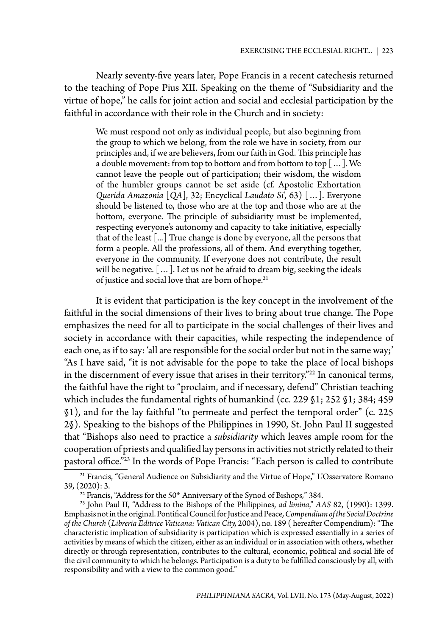Nearly seventy-five years later, Pope Francis in a recent catechesis returned to the teaching of Pope Pius XII. Speaking on the theme of "Subsidiarity and the virtue of hope," he calls for joint action and social and ecclesial participation by the faithful in accordance with their role in the Church and in society:

We must respond not only as individual people, but also beginning from the group to which we belong, from the role we have in society, from our principles and, if we are believers, from our faith in God. This principle has a double movement: from top to bottom and from bottom to top […]. We cannot leave the people out of participation; their wisdom, the wisdom of the humbler groups cannot be set aside (cf. Apostolic Exhortation *Querida Amazonia* [*QA*], 32; Encyclical *Laudato Si*', 63) […]. Everyone should be listened to, those who are at the top and those who are at the bottom, everyone. The principle of subsidiarity must be implemented, respecting everyone's autonomy and capacity to take initiative, especially that of the least [...] True change is done by everyone, all the persons that form a people. All the professions, all of them. And everything together, everyone in the community. If everyone does not contribute, the result will be negative. […]. Let us not be afraid to dream big, seeking the ideals of justice and social love that are born of hope.<sup>21</sup>

It is evident that participation is the key concept in the involvement of the faithful in the social dimensions of their lives to bring about true change. The Pope emphasizes the need for all to participate in the social challenges of their lives and society in accordance with their capacities, while respecting the independence of each one, as if to say: 'all are responsible for the social order but not in the same way;' "As I have said, "it is not advisable for the pope to take the place of local bishops in the discernment of every issue that arises in their territory."22 In canonical terms, the faithful have the right to "proclaim, and if necessary, defend" Christian teaching which includes the fundamental rights of humankind (cc. 229 §1; 252 §1; 384; 459 §1), and for the lay faithful "to permeate and perfect the temporal order" (c. 225 2§). Speaking to the bishops of the Philippines in 1990, St. John Paul II suggested that "Bishops also need to practice a *subsidiarity* which leaves ample room for the cooperation of priests and qualified lay persons in activities not strictly related to their pastoral office."23 In the words of Pope Francis: "Each person is called to contribute

<sup>&</sup>lt;sup>21</sup> Francis, "General Audience on Subsidiarity and the Virtue of Hope," L'Osservatore Romano 39, (2020): 3.

<sup>&</sup>lt;sup>22</sup> Francis, "Address for the 50<sup>th</sup> Anniversary of the Synod of Bishops," 384.

<sup>23</sup> John Paul II, "Address to the Bishops of the Philippines, *ad limina*," *AAS* 82, (1990): 1399. Emphasis not in the original. Pontifical Council for Justice and Peace*, Compendium of the Social Doctrine of the Church* (*Libreria Editrice Vaticana: Vatican City,* 2004), no. 189 ( hereafter Compendium): "The characteristic implication of subsidiarity is participation which is expressed essentially in a series of activities by means of which the citizen, either as an individual or in association with others, whether directly or through representation, contributes to the cultural, economic, political and social life of the civil community to which he belongs. Participation is a duty to be fulfilled consciously by all, with responsibility and with a view to the common good."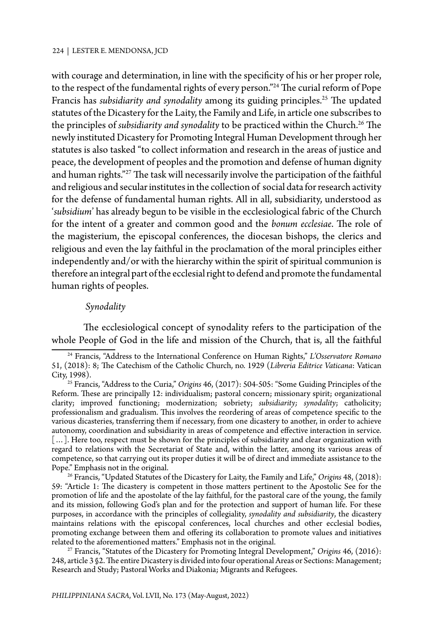with courage and determination, in line with the specificity of his or her proper role, to the respect of the fundamental rights of every person."<sup>24</sup> The curial reform of Pope Francis has *subsidiarity and synodality* among its guiding principles.<sup>25</sup> The updated statutes of the Dicastery for the Laity, the Family and Life, in article one subscribes to the principles of *subsidiarity and synodality* to be practiced within the Church.<sup>26</sup> The newly instituted Dicastery for Promoting Integral Human Development through her statutes is also tasked "to collect information and research in the areas of justice and peace, the development of peoples and the promotion and defense of human dignity and human rights."27 The task will necessarily involve the participation of the faithful and religious and secular institutes in the collection of social data for research activity for the defense of fundamental human rights. All in all, subsidiarity, understood as '*subsidium*' has already begun to be visible in the ecclesiological fabric of the Church for the intent of a greater and common good and the *bonum ecclesiae*. The role of the magisterium, the episcopal conferences, the diocesan bishops, the clerics and religious and even the lay faithful in the proclamation of the moral principles either independently and/or with the hierarchy within the spirit of spiritual communion is therefore an integral part of the ecclesial right to defend and promote the fundamental human rights of peoples.

## *Synodality*

The ecclesiological concept of synodality refers to the participation of the whole People of God in the life and mission of the Church, that is, all the faithful

26 Francis, "Updated Statutes of the Dicastery for Laity, the Family and Life," *Origins* 48, (2018): 59: "Article 1: The dicastery is competent in those matters pertinent to the Apostolic See for the promotion of life and the apostolate of the lay faithful, for the pastoral care of the young, the family and its mission, following God's plan and for the protection and support of human life. For these purposes, in accordance with the principles of collegiality, *synodality and subsidiarity*, the dicastery maintains relations with the episcopal conferences, local churches and other ecclesial bodies, promoting exchange between them and offering its collaboration to promote values and initiatives related to the aforementioned matters." Emphasis not in the original.

27 Francis, "Statutes of the Dicastery for Promoting Integral Development," *Origins* 46, (2016): 248, article 3 §2. The entire Dicastery is divided into four operational Areas or Sections: Management; Research and Study; Pastoral Works and Diakonia; Migrants and Refugees.

<sup>24</sup> Francis, "Address to the International Conference on Human Rights," *L'Osservatore Romano* 51, (2018): 8; The Catechism of the Catholic Church, no. 1929 (*Libreria Editrice Vaticana*: Vatican City, 1998).

<sup>25</sup> Francis, "Address to the Curia," *Origins* 46, (2017): 504-505: "Some Guiding Principles of the Reform. These are principally 12: individualism; pastoral concern; missionary spirit; organizational clarity; improved functioning; modernization; sobriety; *subsidiarity; synodality*; catholicity; professionalism and gradualism. This involves the reordering of areas of competence specific to the various dicasteries, transferring them if necessary, from one dicastery to another, in order to achieve autonomy, coordination and subsidiarity in areas of competence and effective interaction in service. [...]. Here too, respect must be shown for the principles of subsidiarity and clear organization with regard to relations with the Secretariat of State and, within the latter, among its various areas of competence, so that carrying out its proper duties it will be of direct and immediate assistance to the Pope." Emphasis not in the original.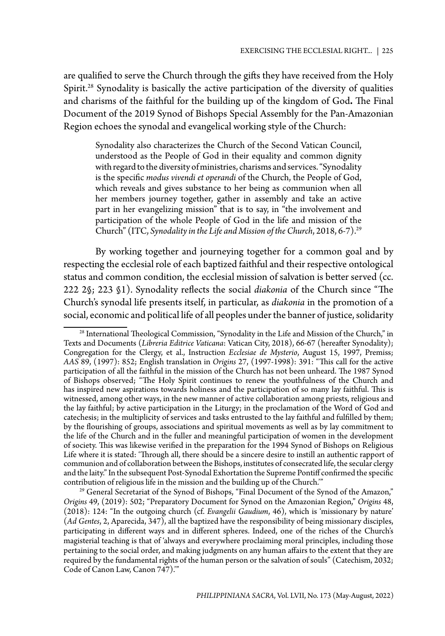are qualified to serve the Church through the gifts they have received from the Holy Spirit.<sup>28</sup> Synodality is basically the active participation of the diversity of qualities and charisms of the faithful for the building up of the kingdom of God**.** The Final Document of the 2019 Synod of Bishops Special Assembly for the Pan-Amazonian Region echoes the synodal and evangelical working style of the Church:

Synodality also characterizes the Church of the Second Vatican Council, understood as the People of God in their equality and common dignity with regard to the diversity of ministries, charisms and services. "Synodality is the specific *modus vivendi et operandi* of the Church, the People of God, which reveals and gives substance to her being as communion when all her members journey together, gather in assembly and take an active part in her evangelizing mission" that is to say, in "the involvement and participation of the whole People of God in the life and mission of the Church" (ITC, *Synodality in the Life and Mission of the Church*, 2018, 6-7).29

By working together and journeying together for a common goal and by respecting the ecclesial role of each baptized faithful and their respective ontological status and common condition, the ecclesial mission of salvation is better served (cc. 222 2§; 223 §1). Synodality reflects the social *diakonia* of the Church since "The Church's synodal life presents itself, in particular, as *diakonia* in the promotion of a social, economic and political life of all peoples under the banner of justice, solidarity

<sup>&</sup>lt;sup>28</sup> International Theological Commission, "Synodality in the Life and Mission of the Church," in Texts and Documents (*Libreria Editrice Vaticana*: Vatican City, 2018), 66-67 (hereafter Synodality); Congregation for the Clergy, et al., Instruction *Ecclesiae de Mysterio*, August 15, 1997, Premiss; *AAS* 89, (1997): 852; English translation in *Origins* 27, (1997-1998): 391: "This call for the active participation of all the faithful in the mission of the Church has not been unheard. The 1987 Synod of Bishops observed; "The Holy Spirit continues to renew the youthfulness of the Church and has inspired new aspirations towards holiness and the participation of so many lay faithful. This is witnessed, among other ways, in the new manner of active collaboration among priests, religious and the lay faithful; by active participation in the Liturgy; in the proclamation of the Word of God and catechesis; in the multiplicity of services and tasks entrusted to the lay faithful and fulfilled by them; by the flourishing of groups, associations and spiritual movements as well as by lay commitment to the life of the Church and in the fuller and meaningful participation of women in the development of society. This was likewise verified in the preparation for the 1994 Synod of Bishops on Religious Life where it is stated: 'Through all, there should be a sincere desire to instill an authentic rapport of communion and of collaboration between the Bishops, institutes of consecrated life, the secular clergy and the laity." In the subsequent Post-Synodal Exhortation the Supreme Pontiff confirmed the specific contribution of religious life in the mission and the building up of the Church.'"

<sup>&</sup>lt;sup>29</sup> General Secretariat of the Synod of Bishops, "Final Document of the Synod of the Amazon," *Origins* 49, (2019): 502; "Preparatory Document for Synod on the Amazonian Region," *Origins* 48, (2018): 124: "In the outgoing church (cf. *Evangelii Gaudium*, 46), which is 'missionary by nature' (*Ad Gentes*, 2, Aparecida, 347), all the baptized have the responsibility of being missionary disciples, participating in different ways and in different spheres. Indeed, one of the riches of the Church's magisterial teaching is that of 'always and everywhere proclaiming moral principles, including those pertaining to the social order, and making judgments on any human affairs to the extent that they are required by the fundamental rights of the human person or the salvation of souls" (Catechism, 2032; Code of Canon Law, Canon 747).'"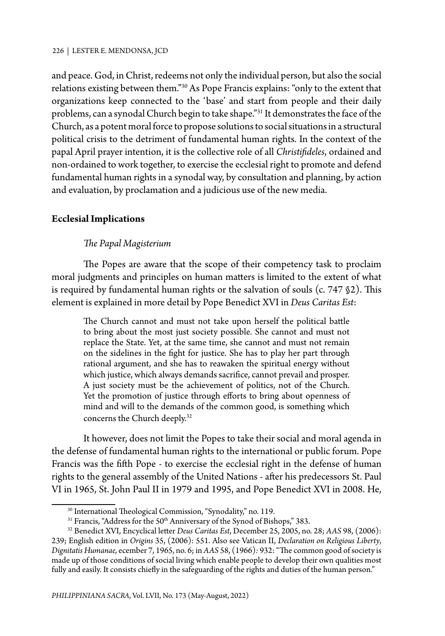and peace. God, in Christ, redeems not only the individual person, but also the social relations existing between them."30 As Pope Francis explains: "only to the extent that organizations keep connected to the 'base' and start from people and their daily problems, can a synodal Church begin to take shape."31 It demonstrates the face of the Church, as a potent moral force to propose solutions to social situations in a structural political crisis to the detriment of fundamental human rights. In the context of the papal April prayer intention, it is the collective role of all *Christifideles*, ordained and non-ordained to work together, to exercise the ecclesial right to promote and defend fundamental human rights in a synodal way, by consultation and planning, by action and evaluation, by proclamation and a judicious use of the new media.

## **Ecclesial Implications**

# *The Papal Magisterium*

The Popes are aware that the scope of their competency task to proclaim moral judgments and principles on human matters is limited to the extent of what is required by fundamental human rights or the salvation of souls (c. 747 §2). This element is explained in more detail by Pope Benedict XVI in *Deus Caritas Est*:

The Church cannot and must not take upon herself the political battle to bring about the most just society possible. She cannot and must not replace the State. Yet, at the same time, she cannot and must not remain on the sidelines in the fight for justice. She has to play her part through rational argument, and she has to reawaken the spiritual energy without which justice, which always demands sacrifice, cannot prevail and prosper. A just society must be the achievement of politics, not of the Church. Yet the promotion of justice through efforts to bring about openness of mind and will to the demands of the common good, is something which concerns the Church deeply.32

It however, does not limit the Popes to take their social and moral agenda in the defense of fundamental human rights to the international or public forum. Pope Francis was the fifth Pope - to exercise the ecclesial right in the defense of human rights to the general assembly of the United Nations - after his predecessors St. Paul VI in 1965, St. John Paul II in 1979 and 1995, and Pope Benedict XVI in 2008. He,

*PHILIPPINIANA SACRA*, Vol. LVII, No. 173 (May-August, 2022)

<sup>30</sup> International Theological Commission, "Synodality," no. 119.

<sup>&</sup>lt;sup>31</sup> Francis, "Address for the 50<sup>th</sup> Anniversary of the Synod of Bishops," 383.

<sup>32</sup> Benedict XVI, Encyclical letter *Deus Caritas Est*, December 25, 2005, no. 28; *AAS* 98, (2006): 239; English edition in *Origins* 35, (2006): 551. Also see Vatican II, *Declaration on Religious Liberty*, *Dignitatis Humanae,* ecember 7, 1965, no. 6; in *AAS* 58, (1966)*:* 932: "The common good of society is made up of those conditions of social living which enable people to develop their own qualities most fully and easily. It consists chiefly in the safeguarding of the rights and duties of the human person."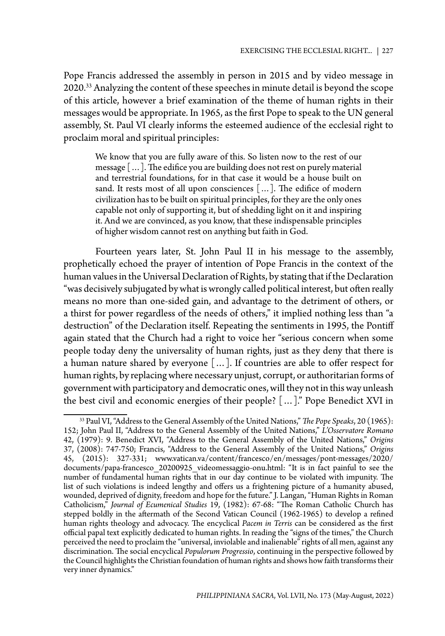Pope Francis addressed the assembly in person in 2015 and by video message in 2020.<sup>33</sup> Analyzing the content of these speeches in minute detail is beyond the scope of this article, however a brief examination of the theme of human rights in their messages would be appropriate. In 1965, as the first Pope to speak to the UN general assembly, St. Paul VI clearly informs the esteemed audience of the ecclesial right to proclaim moral and spiritual principles:

We know that you are fully aware of this. So listen now to the rest of our message […]. The edifice you are building does not rest on purely material and terrestrial foundations, for in that case it would be a house built on sand. It rests most of all upon consciences […]. The edifice of modern civilization has to be built on spiritual principles, for they are the only ones capable not only of supporting it, but of shedding light on it and inspiring it. And we are convinced, as you know, that these indispensable principles of higher wisdom cannot rest on anything but faith in God.

Fourteen years later, St. John Paul II in his message to the assembly, prophetically echoed the prayer of intention of Pope Francis in the context of the human values in the Universal Declaration of Rights, by stating that if the Declaration "was decisively subjugated by what is wrongly called political interest, but often really means no more than one-sided gain, and advantage to the detriment of others, or a thirst for power regardless of the needs of others," it implied nothing less than "a destruction" of the Declaration itself. Repeating the sentiments in 1995, the Pontiff again stated that the Church had a right to voice her "serious concern when some people today deny the universality of human rights, just as they deny that there is a human nature shared by everyone […]. If countries are able to offer respect for human rights, by replacing where necessary unjust, corrupt, or authoritarian forms of government with participatory and democratic ones, will they not in this way unleash the best civil and economic energies of their people? […]." Pope Benedict XVI in

<sup>33</sup> Paul VI, "Address to the General Assembly of the United Nations," *The Pope Speaks*, 20 (1965): 152; John Paul II, "Address to the General Assembly of the United Nations," *L'Osservatore Romano*  42, (1979): 9. Benedict XVI, "Address to the General Assembly of the United Nations," *Origins* 37, (2008): 747-750; Francis, "Address to the General Assembly of the United Nations," *Origins* 45, (2015): 327-331; www.vatican.va/content/francesco/en/messages/pont-messages/2020/ documents/papa-francesco 20200925 videomessaggio-onu.html: "It is in fact painful to see the number of fundamental human rights that in our day continue to be violated with impunity. The list of such violations is indeed lengthy and offers us a frightening picture of a humanity abused, wounded, deprived of dignity, freedom and hope for the future." J. Langan, "Human Rights in Roman Catholicism," *Journal of Ecumenical Studies* 19, (1982): 67-68: "The Roman Catholic Church has stepped boldly in the aftermath of the Second Vatican Council (1962-1965) to develop a refined human rights theology and advocacy. The encyclical *Pacem in Terris* can be considered as the first official papal text explicitly dedicated to human rights. In reading the "signs of the times," the Church perceived the need to proclaim the "universal, inviolable and inalienable" rights of all men, against any discrimination. The social encyclical *Populorum Progressio*, continuing in the perspective followed by the Council highlights the Christian foundation of human rights and shows how faith transforms their very inner dynamics."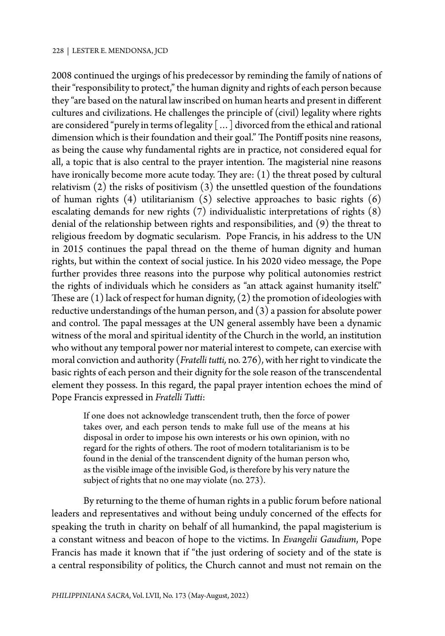2008 continued the urgings of his predecessor by reminding the family of nations of their "responsibility to protect," the human dignity and rights of each person because they "are based on the natural law inscribed on human hearts and present in different cultures and civilizations. He challenges the principle of (civil) legality where rights are considered "purely in terms of legality […] divorced from the ethical and rational dimension which is their foundation and their goal." The Pontiff posits nine reasons, as being the cause why fundamental rights are in practice, not considered equal for all, a topic that is also central to the prayer intention. The magisterial nine reasons have ironically become more acute today. They are: (1) the threat posed by cultural relativism (2) the risks of positivism (3) the unsettled question of the foundations of human rights (4) utilitarianism (5) selective approaches to basic rights (6) escalating demands for new rights (7) individualistic interpretations of rights (8) denial of the relationship between rights and responsibilities, and (9) the threat to religious freedom by dogmatic secularism. Pope Francis, in his address to the UN in 2015 continues the papal thread on the theme of human dignity and human rights, but within the context of social justice. In his 2020 video message, the Pope further provides three reasons into the purpose why political autonomies restrict the rights of individuals which he considers as "an attack against humanity itself." These are  $(1)$  lack of respect for human dignity,  $(2)$  the promotion of ideologies with reductive understandings of the human person, and (3) a passion for absolute power and control. The papal messages at the UN general assembly have been a dynamic witness of the moral and spiritual identity of the Church in the world, an institution who without any temporal power nor material interest to compete, can exercise with moral conviction and authority (*Fratelli tutti,* no. 276), with her right to vindicate the basic rights of each person and their dignity for the sole reason of the transcendental element they possess. In this regard, the papal prayer intention echoes the mind of Pope Francis expressed in *Fratelli Tutti*:

If one does not acknowledge transcendent truth, then the force of power takes over, and each person tends to make full use of the means at his disposal in order to impose his own interests or his own opinion, with no regard for the rights of others. The root of modern totalitarianism is to be found in the denial of the transcendent dignity of the human person who, as the visible image of the invisible God, is therefore by his very nature the subject of rights that no one may violate (no. 273).

By returning to the theme of human rights in a public forum before national leaders and representatives and without being unduly concerned of the effects for speaking the truth in charity on behalf of all humankind, the papal magisterium is a constant witness and beacon of hope to the victims. In *Evangelii Gaudium*, Pope Francis has made it known that if "the just ordering of society and of the state is a central responsibility of politics, the Church cannot and must not remain on the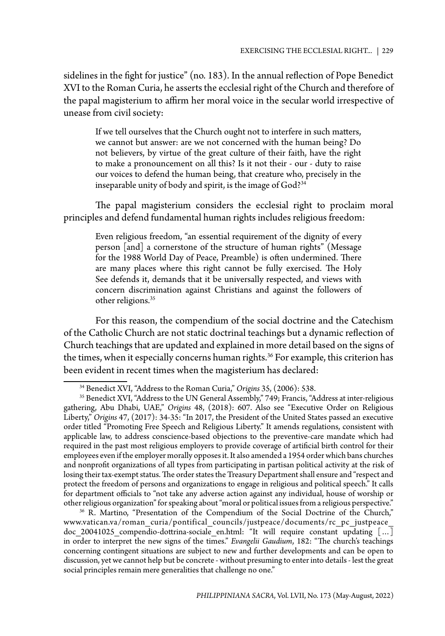sidelines in the fight for justice" (no. 183). In the annual reflection of Pope Benedict XVI to the Roman Curia, he asserts the ecclesial right of the Church and therefore of the papal magisterium to affirm her moral voice in the secular world irrespective of unease from civil society:

If we tell ourselves that the Church ought not to interfere in such matters, we cannot but answer: are we not concerned with the human being? Do not believers, by virtue of the great culture of their faith, have the right to make a pronouncement on all this? Is it not their - our - duty to raise our voices to defend the human being, that creature who, precisely in the inseparable unity of body and spirit, is the image of God?34

The papal magisterium considers the ecclesial right to proclaim moral principles and defend fundamental human rights includes religious freedom:

Even religious freedom, "an essential requirement of the dignity of every person [and] a cornerstone of the structure of human rights" (Message for the 1988 World Day of Peace, Preamble) is often undermined. There are many places where this right cannot be fully exercised. The Holy See defends it, demands that it be universally respected, and views with concern discrimination against Christians and against the followers of other religions.35

For this reason, the compendium of the social doctrine and the Catechism of the Catholic Church are not static doctrinal teachings but a dynamic reflection of Church teachings that are updated and explained in more detail based on the signs of the times, when it especially concerns human rights.<sup>36</sup> For example, this criterion has been evident in recent times when the magisterium has declared:

<sup>34</sup> Benedict XVI, "Address to the Roman Curia," *Origins* 35, (2006): 538.

<sup>&</sup>lt;sup>35</sup> Benedict XVI, "Address to the UN General Assembly," 749; Francis, "Address at inter-religious gathering, Abu Dhabi, UAE," *Origins* 48, (2018): 607. Also see "Executive Order on Religious Liberty," *Origins* 47, (2017): 34-35: "In 2017, the President of the United States passed an executive order titled "Promoting Free Speech and Religious Liberty." It amends regulations, consistent with applicable law, to address conscience-based objections to the preventive-care mandate which had required in the past most religious employers to provide coverage of artificial birth control for their employees even if the employer morally opposes it. It also amended a 1954 order which bans churches and nonprofit organizations of all types from participating in partisan political activity at the risk of losing their tax-exempt status. The order states the Treasury Department shall ensure and "respect and protect the freedom of persons and organizations to engage in religious and political speech." It calls for department officials to "not take any adverse action against any individual, house of worship or<br>other religious organization" for speaking about "moral or political issues from a religious perspective."

<sup>&</sup>lt;sup>36</sup> R. Martino, "Presentation of the Compendium of the Social Doctrine of the Church," www.vatican.va/roman\_curia/pontifical\_councils/justpeace/documents/rc\_pc\_justpeace\_ doc 20041025 compendio-dottrina-sociale en.html: "It will require constant updating  $[\dots]$ in order to interpret the new signs of the times." *Evangelii Gaudium*, 182: "The church's teachings concerning contingent situations are subject to new and further developments and can be open to discussion, yet we cannot help but be concrete - without presuming to enter into details - lest the great social principles remain mere generalities that challenge no one."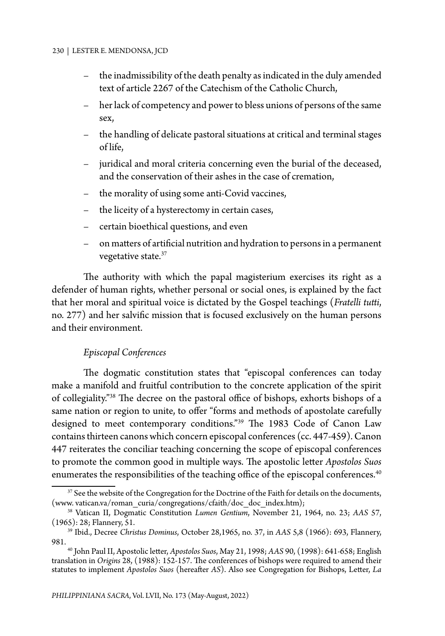- the inadmissibility of the death penalty as indicated in the duly amended text of article 2267 of the Catechism of the Catholic Church,
- her lack of competency and power to bless unions of persons of the same sex,
- the handling of delicate pastoral situations at critical and terminal stages of life,
- juridical and moral criteria concerning even the burial of the deceased, and the conservation of their ashes in the case of cremation,
- the morality of using some anti-Covid vaccines,
- the liceity of a hysterectomy in certain cases,
- certain bioethical questions, and even
- on matters of artificial nutrition and hydration to persons in a permanent vegetative state.<sup>37</sup>

The authority with which the papal magisterium exercises its right as a defender of human rights, whether personal or social ones, is explained by the fact that her moral and spiritual voice is dictated by the Gospel teachings (*Fratelli tutti*, no. 277) and her salvific mission that is focused exclusively on the human persons and their environment.

## *Episcopal Conferences*

The dogmatic constitution states that "episcopal conferences can today make a manifold and fruitful contribution to the concrete application of the spirit of collegiality."38 The decree on the pastoral office of bishops, exhorts bishops of a same nation or region to unite, to offer "forms and methods of apostolate carefully designed to meet contemporary conditions."39 The 1983 Code of Canon Law contains thirteen canons which concern episcopal conferences (cc. 447-459). Canon 447 reiterates the conciliar teaching concerning the scope of episcopal conferences to promote the common good in multiple ways. The apostolic letter *Apostolos Suos* enumerates the responsibilities of the teaching office of the episcopal conferences.<sup>40</sup>

<sup>&</sup>lt;sup>37</sup> See the website of the Congregation for the Doctrine of the Faith for details on the documents, (www. vatican.va/roman curia/congregations/cfaith/doc doc index.htm);

<sup>&</sup>lt;sup>38</sup> Vatican II, Dogmatic Constitution *Lumen Gentium*, November 21, 1964, no. 23; *AAS 57*, (1965): 28; Flannery, 51.

<sup>39</sup> Ibid., Decree *Christus Dominus*, October 28,1965, no. 37, in *AAS* 5,8 (1966): 693, Flannery, 981.

<sup>40</sup> John Paul II, Apostolic letter, *Apostolos Suos*, May 21, 1998; *AAS* 90, (1998): 641-658; English translation in *Origins* 28, (1988): 152-157. The conferences of bishops were required to amend their statutes to implement *Apostolos Suos* (hereafter *AS*). Also see Congregation for Bishops, Letter, *La*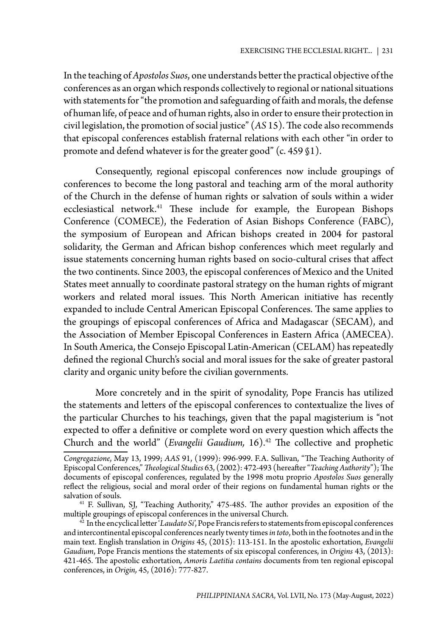In the teaching of *Apostolos Suos*, one understands better the practical objective of the conferences as an organ which responds collectively to regional or national situations with statements for "the promotion and safeguarding of faith and morals, the defense of human life, of peace and of human rights, also in order to ensure their protection in civil legislation, the promotion of social justice" (*AS* 15). The code also recommends that episcopal conferences establish fraternal relations with each other "in order to promote and defend whatever is for the greater good" (c. 459 §1).

Consequently, regional episcopal conferences now include groupings of conferences to become the long pastoral and teaching arm of the moral authority of the Church in the defense of human rights or salvation of souls within a wider ecclesiastical network.<sup>41</sup> These include for example, the European Bishops Conference (COMECE), the Federation of Asian Bishops Conference (FABC), the symposium of European and African bishops created in 2004 for pastoral solidarity, the German and African bishop conferences which meet regularly and issue statements concerning human rights based on socio-cultural crises that affect the two continents. Since 2003, the episcopal conferences of Mexico and the United States meet annually to coordinate pastoral strategy on the human rights of migrant workers and related moral issues. This North American initiative has recently expanded to include Central American Episcopal Conferences. The same applies to the groupings of episcopal conferences of Africa and Madagascar (SECAM), and the Association of Member Episcopal Conferences in Eastern Africa (AMECEA). In South America, the Consejo Episcopal Latin-American (CELAM) has repeatedly defined the regional Church's social and moral issues for the sake of greater pastoral clarity and organic unity before the civilian governments.

More concretely and in the spirit of synodality, Pope Francis has utilized the statements and letters of the episcopal conferences to contextualize the lives of the particular Churches to his teachings, given that the papal magisterium is "not expected to offer a definitive or complete word on every question which affects the Church and the world" (*Evangelii Gaudium*, 16).<sup>42</sup> The collective and prophetic

*Congregazione*, May 13, 1999; *AAS* 91, (1999): 996-999. F.A. Sullivan, "The Teaching Authority of Episcopal Conferences," *Theological Studies* 63, (2002): 472-493 (hereafter "*Teaching Authority*"); The documents of episcopal conferences, regulated by the 1998 motu proprio *Apostolos Suos* generally reflect the religious, social and moral order of their regions on fundamental human rights or the salvation of souls.

<sup>41</sup> F. Sullivan, SJ, "Teaching Authority," 475-485. The author provides an exposition of the multiple groupings of episcopal conferences in the universal Church.

<sup>42</sup> In the encyclical letter '*Laudato Si*', Pope Francis refers to statements from episcopal conferences and intercontinental episcopal conferences nearly twenty times *in toto*, both in the footnotes and in the main text. English translation in *Origins* 45, (2015): 113-151. In the apostolic exhortation, *Evangelii Gaudium*, Pope Francis mentions the statements of six episcopal conferences, in *Origins* 43, (2013): 421-465. The apostolic exhortation*, Amoris Laetitia contains* documents from ten regional episcopal conferences, in *Origin,* 45, (2016): 777-827.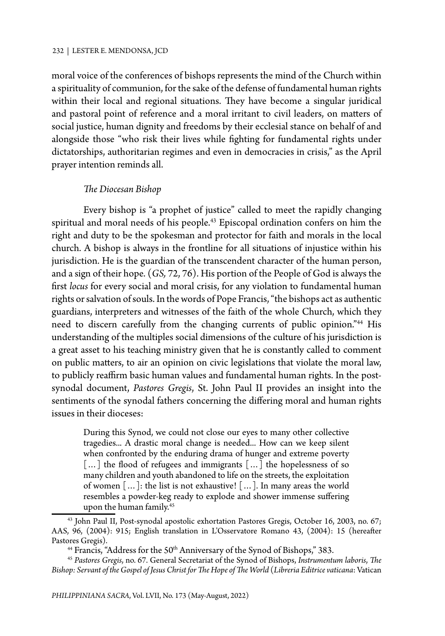moral voice of the conferences of bishops represents the mind of the Church within a spirituality of communion, for the sake of the defense of fundamental human rights within their local and regional situations. They have become a singular juridical and pastoral point of reference and a moral irritant to civil leaders, on matters of social justice, human dignity and freedoms by their ecclesial stance on behalf of and alongside those "who risk their lives while fighting for fundamental rights under dictatorships, authoritarian regimes and even in democracies in crisis," as the April prayer intention reminds all.

#### *The Diocesan Bishop*

Every bishop is "a prophet of justice" called to meet the rapidly changing spiritual and moral needs of his people. <sup>43</sup> Episcopal ordination confers on him the right and duty to be the spokesman and protector for faith and morals in the local church. A bishop is always in the frontline for all situations of injustice within his jurisdiction. He is the guardian of the transcendent character of the human person, and a sign of their hope. (*GS,* 72, 76). His portion of the People of God is always the first *locus* for every social and moral crisis, for any violation to fundamental human rights or salvation of souls. In the words of Pope Francis, "the bishops act as authentic guardians, interpreters and witnesses of the faith of the whole Church, which they need to discern carefully from the changing currents of public opinion."<sup>44</sup> His understanding of the multiples social dimensions of the culture of his jurisdiction is a great asset to his teaching ministry given that he is constantly called to comment on public matters, to air an opinion on civic legislations that violate the moral law, to publicly reaffirm basic human values and fundamental human rights. In the postsynodal document, *Pastores Gregis*, St. John Paul II provides an insight into the sentiments of the synodal fathers concerning the differing moral and human rights issues in their dioceses:

During this Synod, we could not close our eyes to many other collective tragedies... A drastic moral change is needed... How can we keep silent when confronted by the enduring drama of hunger and extreme poverty [...] the flood of refugees and immigrants [...] the hopelessness of so many children and youth abandoned to life on the streets, the exploitation of women […]: the list is not exhaustive! […]. In many areas the world resembles a powder-keg ready to explode and shower immense suffering upon the human family.45

<sup>43</sup> John Paul II, Post-synodal apostolic exhortation Pastores Gregis, October 16, 2003, no. 67; AAS, 96, (2004): 915; English translation in L'Osservatore Romano 43, (2004): 15 (hereafter Pastores Gregis).<br><sup>44</sup> Francis, "Address for the 50<sup>th</sup> Anniversary of the Synod of Bishops," 383.

<sup>45</sup> *Pastores Gregis*, no. 67. General Secretariat of the Synod of Bishops, *Instrumentum laboris*, *The Bishop: Servant of the Gospel of Jesus Christ for The Hope of The World* (*Libreria Editrice vaticana*: Vatican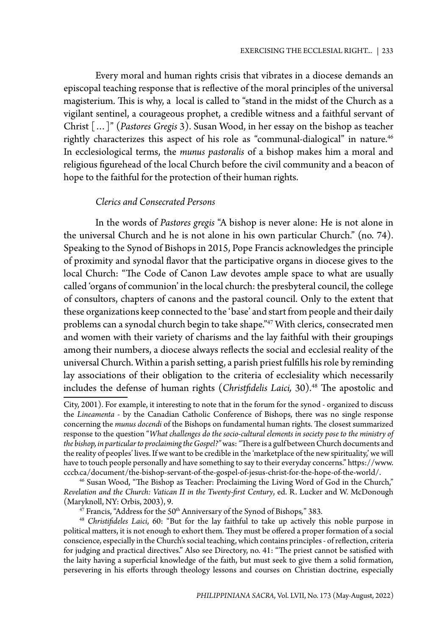Every moral and human rights crisis that vibrates in a diocese demands an episcopal teaching response that is reflective of the moral principles of the universal magisterium. This is why, a local is called to "stand in the midst of the Church as a vigilant sentinel, a courageous prophet, a credible witness and a faithful servant of Christ […]" (*Pastores Gregis* 3). Susan Wood, in her essay on the bishop as teacher rightly characterizes this aspect of his role as "communal-dialogical" in nature.<sup>46</sup> In ecclesiological terms, the *munus pastoralis* of a bishop makes him a moral and religious figurehead of the local Church before the civil community and a beacon of hope to the faithful for the protection of their human rights.

## *Clerics and Consecrated Persons*

In the words of *Pastores gregis* "A bishop is never alone: He is not alone in the universal Church and he is not alone in his own particular Church." (no. 74). Speaking to the Synod of Bishops in 2015, Pope Francis acknowledges the principle of proximity and synodal flavor that the participative organs in diocese gives to the local Church: "The Code of Canon Law devotes ample space to what are usually called 'organs of communion' in the local church: the presbyteral council, the college of consultors, chapters of canons and the pastoral council. Only to the extent that these organizations keep connected to the 'base' and start from people and their daily problems can a synodal church begin to take shape."47 With clerics, consecrated men and women with their variety of charisms and the lay faithful with their groupings among their numbers, a diocese always reflects the social and ecclesial reality of the universal Church. Within a parish setting, a parish priest fulfills his role by reminding lay associations of their obligation to the criteria of ecclesiality which necessarily includes the defense of human rights (*Christfidelis Laici*, 30).<sup>48</sup> The apostolic and

City, 2001). For example, it interesting to note that in the forum for the synod - organized to discuss the *Lineamenta* - by the Canadian Catholic Conference of Bishops, there was no single response concerning the *munus docendi* of the Bishops on fundamental human rights. The closest summarized response to the question "*What challenges do the socio-cultural elements in society pose to the ministry of the bishop, in particular to proclaiming the Gospel?"* was: *"*There is a gulf between Church documents and the reality of peoples' lives. If we want to be credible in the 'marketplace of the new spirituality,' we will have to touch people personally and have something to say to their everyday concerns." https://www. cccb.ca/document/the-bishop-servant-of-the-gospel-of-jesus-christ-for-the-hope-of-the-world/.

<sup>46</sup> Susan Wood, "The Bishop as Teacher: Proclaiming the Living Word of God in the Church," *Revelation and the Church: Vatican II in the Twenty-first Century*, ed. R. Lucker and W. McDonough (Maryknoll, NY: Orbis, 2003), 9.

<sup>&</sup>lt;sup>47</sup> Francis, "Address for the 50<sup>th</sup> Anniversary of the Synod of Bishops," 383.

<sup>48</sup> *Christifideles Laici*, 60: "But for the lay faithful to take up actively this noble purpose in political matters, it is not enough to exhort them. They must be offered a proper formation of a social conscience, especially in the Church's social teaching, which contains principles - of reflection, criteria for judging and practical directives." Also see Directory, no. 41: "The priest cannot be satisfied with the laity having a superficial knowledge of the faith, but must seek to give them a solid formation, persevering in his efforts through theology lessons and courses on Christian doctrine, especially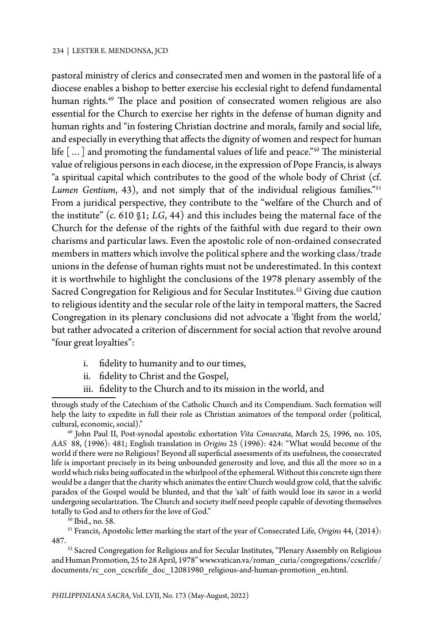pastoral ministry of clerics and consecrated men and women in the pastoral life of a diocese enables a bishop to better exercise his ecclesial right to defend fundamental human rights.<sup>49</sup> The place and position of consecrated women religious are also essential for the Church to exercise her rights in the defense of human dignity and human rights and "in fostering Christian doctrine and morals, family and social life, and especially in everything that affects the dignity of women and respect for human life […] and promoting the fundamental values of life and peace."50 The ministerial value of religious persons in each diocese, in the expression of Pope Francis, is always "a spiritual capital which contributes to the good of the whole body of Christ (cf. *Lumen Gentium*, 43), and not simply that of the individual religious families."51 From a juridical perspective, they contribute to the "welfare of the Church and of the institute" (c. 610 §1; *LG*, 44) and this includes being the maternal face of the Church for the defense of the rights of the faithful with due regard to their own charisms and particular laws. Even the apostolic role of non-ordained consecrated members in matters which involve the political sphere and the working class/trade unions in the defense of human rights must not be underestimated. In this context it is worthwhile to highlight the conclusions of the 1978 plenary assembly of the Sacred Congregation for Religious and for Secular Institutes.<sup>52</sup> Giving due caution to religious identity and the secular role of the laity in temporal matters, the Sacred Congregation in its plenary conclusions did not advocate a 'flight from the world,' but rather advocated a criterion of discernment for social action that revolve around "four great loyalties":

- i. fidelity to humanity and to our times,
- ii. fidelity to Christ and the Gospel,
- iii. fidelity to the Church and to its mission in the world, and

49 John Paul II, Post-synodal apostolic exhortation *Vita Consecrata*, March 25, 1996, no. 105, *AAS* 88, (1996): 481; English translation in *Origins* 25 (1996): 424: "What would become of the world if there were no Religious? Beyond all superficial assessments of its usefulness, the consecrated life is important precisely in its being unbounded generosity and love, and this all the more so in a world which risks being suffocated in the whirlpool of the ephemeral. Without this concrete sign there would be a danger that the charity which animates the entire Church would grow cold, that the salvific paradox of the Gospel would be blunted, and that the 'salt' of faith would lose its savor in a world undergoing secularization. The Church and society itself need people capable of devoting themselves totally to God and to others for the love of God."

51 Francis, Apostolic letter marking the start of the year of Consecrated Life, *Origins* 44, (2014): 487.

52 Sacred Congregation for Religious and for Secular Institutes, "Plenary Assembly on Religious and Human Promotion, 25 to 28 April, 1978" www.vatican.va/roman\_curia/congregations/ccscrlife/ documents/rc\_con\_ccscrlife\_doc\_12081980\_religious-and-human-promotion\_en.html.

through study of the Catechism of the Catholic Church and its Compendium. Such formation will help the laity to expedite in full their role as Christian animators of the temporal order (political, cultural, economic, social)."

<sup>50</sup> Ibid., no. 58.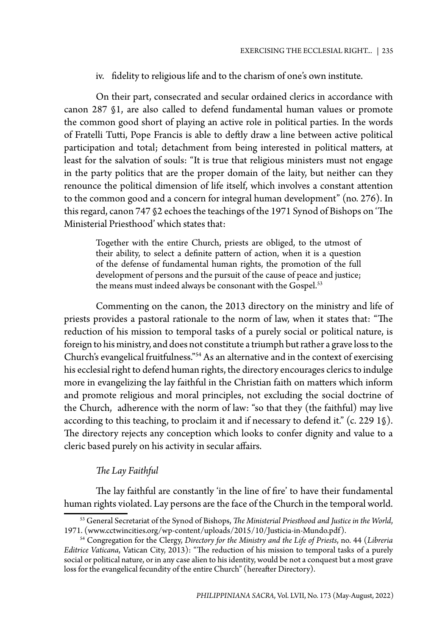iv. fidelity to religious life and to the charism of one's own institute.

On their part, consecrated and secular ordained clerics in accordance with canon 287 §1, are also called to defend fundamental human values or promote the common good short of playing an active role in political parties. In the words of Fratelli Tutti, Pope Francis is able to deftly draw a line between active political participation and total; detachment from being interested in political matters, at least for the salvation of souls: "It is true that religious ministers must not engage in the party politics that are the proper domain of the laity, but neither can they renounce the political dimension of life itself, which involves a constant attention to the common good and a concern for integral human development" (no. 276). In this regard, canon 747 §2 echoes the teachings of the 1971 Synod of Bishops on 'The Ministerial Priesthood' which states that:

Together with the entire Church, priests are obliged, to the utmost of their ability, to select a definite pattern of action, when it is a question of the defense of fundamental human rights, the promotion of the full development of persons and the pursuit of the cause of peace and justice; the means must indeed always be consonant with the Gospel.<sup>53</sup>

Commenting on the canon, the 2013 directory on the ministry and life of priests provides a pastoral rationale to the norm of law, when it states that: "The reduction of his mission to temporal tasks of a purely social or political nature, is foreign to his ministry, and does not constitute a triumph but rather a grave loss to the Church's evangelical fruitfulness."54 As an alternative and in the context of exercising his ecclesial right to defend human rights, the directory encourages clerics to indulge more in evangelizing the lay faithful in the Christian faith on matters which inform and promote religious and moral principles, not excluding the social doctrine of the Church, adherence with the norm of law: "so that they (the faithful) may live according to this teaching, to proclaim it and if necessary to defend it." (c. 229 1§). The directory rejects any conception which looks to confer dignity and value to a cleric based purely on his activity in secular affairs.

## *The Lay Faithful*

The lay faithful are constantly 'in the line of fire' to have their fundamental human rights violated. Lay persons are the face of the Church in the temporal world.

<sup>53</sup> General Secretariat of the Synod of Bishops, *The Ministerial Priesthood and Justice in the World*, 1971. (www.cctwincities.org/wp-content/uploads/2015/10/Justicia-in-Mundo.pdf).

<sup>54</sup> Congregation for the Clergy, *Directory for the Ministry and the Life of Priests*, no. 44 (*Libreria Editrice Vaticana*, Vatican City, 2013): "The reduction of his mission to temporal tasks of a purely social or political nature, or in any case alien to his identity, would be not a conquest but a most grave loss for the evangelical fecundity of the entire Church" (hereafter Directory).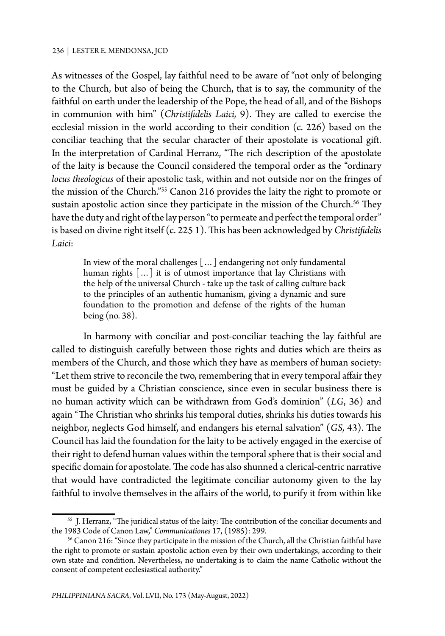As witnesses of the Gospel, lay faithful need to be aware of "not only of belonging to the Church, but also of being the Church, that is to say, the community of the faithful on earth under the leadership of the Pope, the head of all, and of the Bishops in communion with him" (*Christifidelis Laici,* 9). They are called to exercise the ecclesial mission in the world according to their condition (c. 226) based on the conciliar teaching that the secular character of their apostolate is vocational gift. In the interpretation of Cardinal Herranz, "The rich description of the apostolate of the laity is because the Council considered the temporal order as the "ordinary *locus theologicus* of their apostolic task, within and not outside nor on the fringes of the mission of the Church."55 Canon 216 provides the laity the right to promote or sustain apostolic action since they participate in the mission of the Church.<sup>56</sup> They have the duty and right of the lay person "to permeate and perfect the temporal order" is based on divine right itself (c. 225 1). This has been acknowledged by *Christifidelis Laici*:

In view of the moral challenges […] endangering not only fundamental human rights [...] it is of utmost importance that lay Christians with the help of the universal Church - take up the task of calling culture back to the principles of an authentic humanism, giving a dynamic and sure foundation to the promotion and defense of the rights of the human being (no. 38).

In harmony with conciliar and post-conciliar teaching the lay faithful are called to distinguish carefully between those rights and duties which are theirs as members of the Church, and those which they have as members of human society: "Let them strive to reconcile the two, remembering that in every temporal affair they must be guided by a Christian conscience, since even in secular business there is no human activity which can be withdrawn from God's dominion" (*LG*, 36) and again "The Christian who shrinks his temporal duties, shrinks his duties towards his neighbor, neglects God himself, and endangers his eternal salvation" (*GS,* 43). The Council has laid the foundation for the laity to be actively engaged in the exercise of their right to defend human values within the temporal sphere that is their social and specific domain for apostolate. The code has also shunned a clerical-centric narrative that would have contradicted the legitimate conciliar autonomy given to the lay faithful to involve themselves in the affairs of the world, to purify it from within like

<sup>55</sup> J. Herranz, "The juridical status of the laity: The contribution of the conciliar documents and the 1983 Code of Canon Law," *Communicationes* 17, (1985): 299.

<sup>&</sup>lt;sup>56</sup> Canon 216: "Since they participate in the mission of the Church, all the Christian faithful have the right to promote or sustain apostolic action even by their own undertakings, according to their own state and condition. Nevertheless, no undertaking is to claim the name Catholic without the consent of competent ecclesiastical authority."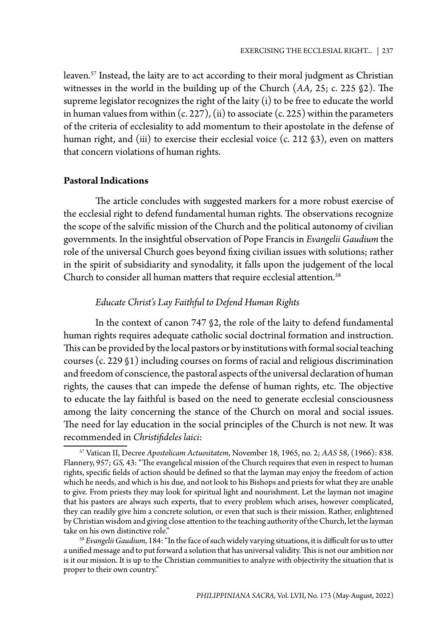leaven.<sup>57</sup> Instead, the laity are to act according to their moral judgment as Christian witnesses in the world in the building up of the Church (*AA,* 25; c. 225 §2). The supreme legislator recognizes the right of the laity (i) to be free to educate the world in human values from within  $(c. 227)$ ,  $(ii)$  to associate  $(c. 225)$  within the parameters of the criteria of ecclesiality to add momentum to their apostolate in the defense of human right, and (iii) to exercise their ecclesial voice (c. 212 §3), even on matters that concern violations of human rights.

## **Pastoral Indications**

The article concludes with suggested markers for a more robust exercise of the ecclesial right to defend fundamental human rights. The observations recognize the scope of the salvific mission of the Church and the political autonomy of civilian governments. In the insightful observation of Pope Francis in *Evangelii Gaudium* the role of the universal Church goes beyond fixing civilian issues with solutions; rather in the spirit of subsidiarity and synodality, it falls upon the judgement of the local Church to consider all human matters that require ecclesial attention.<sup>58</sup>

# *Educate Christ's Lay Faithful to Defend Human Rights*

In the context of canon 747 §2, the role of the laity to defend fundamental human rights requires adequate catholic social doctrinal formation and instruction. This can be provided by the local pastors or by institutions with formal social teaching courses (c. 229 §1) including courses on forms of racial and religious discrimination and freedom of conscience, the pastoral aspects of the universal declaration of human rights, the causes that can impede the defense of human rights, etc. The objective to educate the lay faithful is based on the need to generate ecclesial consciousness among the laity concerning the stance of the Church on moral and social issues. The need for lay education in the social principles of the Church is not new. It was recommended in *Christifideles laici*:

<sup>57</sup> Vatican II, Decree *Apostolicam Actuositatem*, November 18, 1965, no. 2; *AAS* 58, (1966): 838. Flannery, 957; *GS,* 43: "The evangelical mission of the Church requires that even in respect to human rights, specific fields of action should be defined so that the layman may enjoy the freedom of action which he needs, and which is his due, and not look to his Bishops and priests for what they are unable to give. From priests they may look for spiritual light and nourishment. Let the layman not imagine that his pastors are always such experts, that to every problem which arises, however complicated, they can readily give him a concrete solution, or even that such is their mission. Rather, enlightened by Christian wisdom and giving close attention to the teaching authority of the Church, let the layman take on his own distinctive role." 58 *Evangelii Gaudium,* 184: "In the face of such widely varying situations, it is difficult for us to utter

a unified message and to put forward a solution that has universal validity. This is not our ambition nor is it our mission. It is up to the Christian communities to analyze with objectivity the situation that is proper to their own country."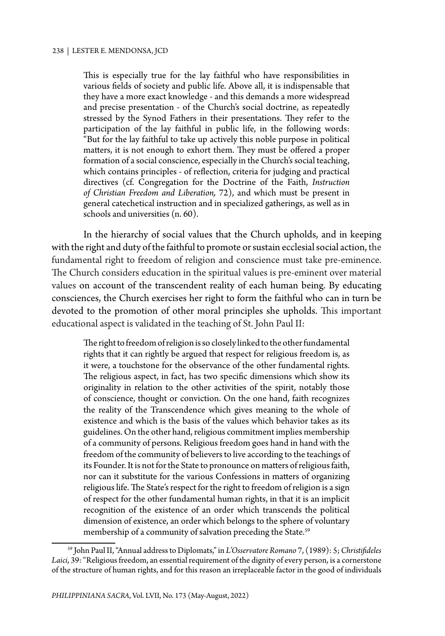This is especially true for the lay faithful who have responsibilities in various fields of society and public life. Above all, it is indispensable that they have a more exact knowledge - and this demands a more widespread and precise presentation - of the Church's social doctrine, as repeatedly stressed by the Synod Fathers in their presentations. They refer to the participation of the lay faithful in public life, in the following words: "But for the lay faithful to take up actively this noble purpose in political matters, it is not enough to exhort them. They must be offered a proper formation of a social conscience, especially in the Church's social teaching, which contains principles - of reflection, criteria for judging and practical directives (cf. Congregation for the Doctrine of the Faith, *Instruction of Christian Freedom and Liberation,*  72), and which must be present in general catechetical instruction and in specialized gatherings, as well as in schools and universities (n. 60).

In the hierarchy of social values that the Church upholds, and in keeping with the right and duty of the faithful to promote or sustain ecclesial social action, the fundamental right to freedom of religion and conscience must take pre-eminence. The Church considers education in the spiritual values is pre-eminent over material values on account of the transcendent reality of each human being. By educating consciences, the Church exercises her right to form the faithful who can in turn be devoted to the promotion of other moral principles she upholds. This important educational aspect is validated in the teaching of St. John Paul II:

The right to freedom of religion is so closely linked to the other fundamental rights that it can rightly be argued that respect for religious freedom is, as it were, a touchstone for the observance of the other fundamental rights. The religious aspect, in fact, has two specific dimensions which show its originality in relation to the other activities of the spirit, notably those of conscience, thought or conviction. On the one hand, faith recognizes the reality of the Transcendence which gives meaning to the whole of existence and which is the basis of the values which behavior takes as its guidelines. On the other hand, religious commitment implies membership of a community of persons. Religious freedom goes hand in hand with the freedom of the community of believers to live according to the teachings of its Founder. It is not for the State to pronounce on matters of religious faith, nor can it substitute for the various Confessions in matters of organizing religious life. The State's respect for the right to freedom of religion is a sign of respect for the other fundamental human rights, in that it is an implicit recognition of the existence of an order which transcends the political dimension of existence, an order which belongs to the sphere of voluntary membership of a community of salvation preceding the State.<sup>59</sup>

<sup>59</sup> John Paul II, "Annual address to Diplomats," in *L'Osservatore Romano* 7, (1989): 5; *Christifideles Laici*, 39: "Religious freedom, an essential requirement of the dignity of every person, is a cornerstone of the structure of human rights, and for this reason an irreplaceable factor in the good of individuals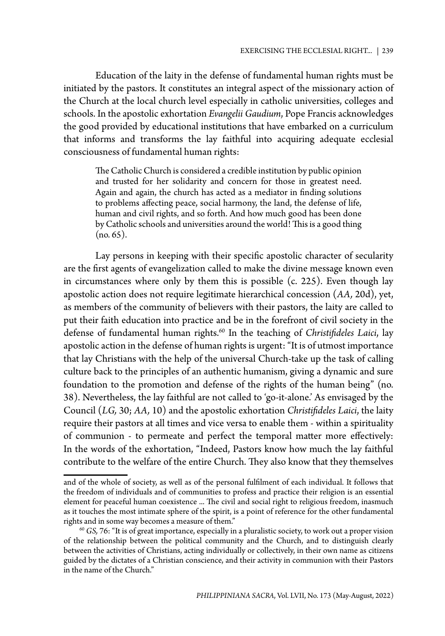Education of the laity in the defense of fundamental human rights must be initiated by the pastors. It constitutes an integral aspect of the missionary action of the Church at the local church level especially in catholic universities, colleges and schools. In the apostolic exhortation *Evangelii Gaudium*, Pope Francis acknowledges the good provided by educational institutions that have embarked on a curriculum that informs and transforms the lay faithful into acquiring adequate ecclesial consciousness of fundamental human rights:

The Catholic Church is considered a credible institution by public opinion and trusted for her solidarity and concern for those in greatest need. Again and again, the church has acted as a mediator in finding solutions to problems affecting peace, social harmony, the land, the defense of life, human and civil rights, and so forth. And how much good has been done by Catholic schools and universities around the world! This is a good thing  $(no. 65).$ 

Lay persons in keeping with their specific apostolic character of secularity are the first agents of evangelization called to make the divine message known even in circumstances where only by them this is possible (c. 225). Even though lay apostolic action does not require legitimate hierarchical concession (*AA,* 20d), yet, as members of the community of believers with their pastors, the laity are called to put their faith education into practice and be in the forefront of civil society in the defense of fundamental human rights.60 In the teaching of *Christifideles Laici*, lay apostolic action in the defense of human rights is urgent: "It is of utmost importance that lay Christians with the help of the universal Church-take up the task of calling culture back to the principles of an authentic humanism, giving a dynamic and sure foundation to the promotion and defense of the rights of the human being" (no. 38). Nevertheless, the lay faithful are not called to 'go-it-alone.' As envisaged by the Council (*LG,* 30; *AA,* 10) and the apostolic exhortation *Christifideles Laici*, the laity require their pastors at all times and vice versa to enable them - within a spirituality of communion - to permeate and perfect the temporal matter more effectively: In the words of the exhortation, "Indeed, Pastors know how much the lay faithful contribute to the welfare of the entire Church. They also know that they themselves

and of the whole of society, as well as of the personal fulfilment of each individual. It follows that the freedom of individuals and of communities to profess and practice their religion is an essential element for peaceful human coexistence ... The civil and social right to religious freedom, inasmuch as it touches the most intimate sphere of the spirit, is a point of reference for the other fundamental rights and in some way becomes a measure of them."

<sup>60</sup> *GS,* 76: "It is of great importance, especially in a pluralistic society, to work out a proper vision of the relationship between the political community and the Church, and to distinguish clearly between the activities of Christians, acting individually or collectively, in their own name as citizens guided by the dictates of a Christian conscience, and their activity in communion with their Pastors in the name of the Church."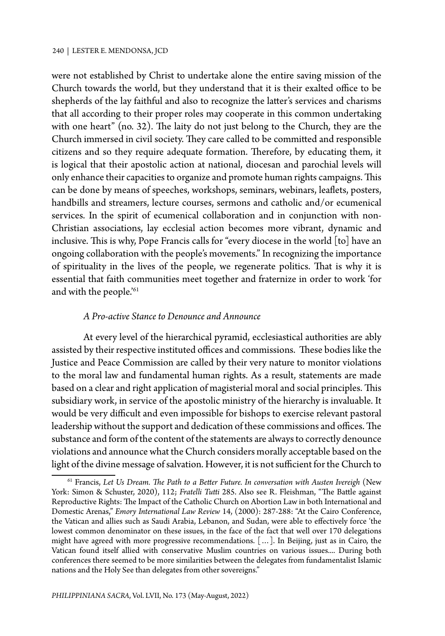were not established by Christ to undertake alone the entire saving mission of the Church towards the world, but they understand that it is their exalted office to be shepherds of the lay faithful and also to recognize the latter's services and charisms that all according to their proper roles may cooperate in this common undertaking with one heart" (no. 32). The laity do not just belong to the Church, they are the Church immersed in civil society. They care called to be committed and responsible citizens and so they require adequate formation. Therefore, by educating them, it is logical that their apostolic action at national, diocesan and parochial levels will only enhance their capacities to organize and promote human rights campaigns. This can be done by means of speeches, workshops, seminars, webinars, leaflets, posters, handbills and streamers, lecture courses, sermons and catholic and/or ecumenical services. In the spirit of ecumenical collaboration and in conjunction with non-Christian associations, lay ecclesial action becomes more vibrant, dynamic and inclusive. This is why, Pope Francis calls for "every diocese in the world [to] have an ongoing collaboration with the people's movements." In recognizing the importance of spirituality in the lives of the people, we regenerate politics. That is why it is essential that faith communities meet together and fraternize in order to work 'for and with the people.'<sup>61</sup>

## *A Pro-active Stance to Denounce and Announce*

At every level of the hierarchical pyramid, ecclesiastical authorities are ably assisted by their respective instituted offices and commissions. These bodies like the Justice and Peace Commission are called by their very nature to monitor violations to the moral law and fundamental human rights. As a result, statements are made based on a clear and right application of magisterial moral and social principles. This subsidiary work, in service of the apostolic ministry of the hierarchy is invaluable. It would be very difficult and even impossible for bishops to exercise relevant pastoral leadership without the support and dedication of these commissions and offices. The substance and form of the content of the statements are always to correctly denounce violations and announce what the Church considers morally acceptable based on the light of the divine message of salvation. However, it is not sufficient for the Church to

<sup>61</sup> Francis, *Let Us Dream. The Path to a Better Future. In conversation with Austen Ivereigh* (New York: Simon & Schuster, 2020), 112; *Fratelli Tutti* 285. Also see R. Fleishman, "The Battle against Reproductive Rights: The Impact of the Catholic Church on Abortion Law in both International and Domestic Arenas," *Emory International Law Review* 14, (2000): 287-288: "At the Cairo Conference, the Vatican and allies such as Saudi Arabia, Lebanon, and Sudan, were able to effectively force 'the lowest common denominator on these issues, in the face of the fact that well over 170 delegations might have agreed with more progressive recommendations. […]. In Beijing, just as in Cairo, the Vatican found itself allied with conservative Muslim countries on various issues.... During both conferences there seemed to be more similarities between the delegates from fundamentalist Islamic nations and the Holy See than delegates from other sovereigns."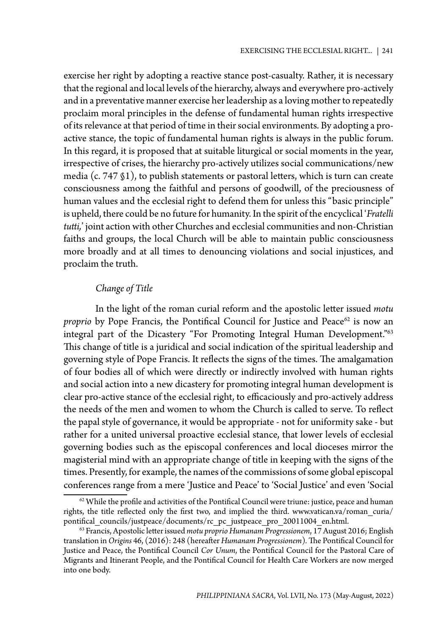exercise her right by adopting a reactive stance post-casualty. Rather, it is necessary that the regional and local levels of the hierarchy, always and everywhere pro-actively and in a preventative manner exercise her leadership as a loving mother to repeatedly proclaim moral principles in the defense of fundamental human rights irrespective of its relevance at that period of time in their social environments. By adopting a proactive stance, the topic of fundamental human rights is always in the public forum. In this regard, it is proposed that at suitable liturgical or social moments in the year, irrespective of crises, the hierarchy pro-actively utilizes social communications/new media (c. 747 §1), to publish statements or pastoral letters, which is turn can create consciousness among the faithful and persons of goodwill, of the preciousness of human values and the ecclesial right to defend them for unless this "basic principle" is upheld, there could be no future for humanity. In the spirit of the encyclical '*Fratelli tutti,*' joint action with other Churches and ecclesial communities and non-Christian faiths and groups, the local Church will be able to maintain public consciousness more broadly and at all times to denouncing violations and social injustices, and proclaim the truth.

## *Change of Title*

In the light of the roman curial reform and the apostolic letter issued *motu proprio* by Pope Francis, the Pontifical Council for Justice and Peace<sup>62</sup> is now an integral part of the Dicastery "For Promoting Integral Human Development."63 This change of title is a juridical and social indication of the spiritual leadership and governing style of Pope Francis. It reflects the signs of the times. The amalgamation of four bodies all of which were directly or indirectly involved with human rights and social action into a new dicastery for promoting integral human development is clear pro-active stance of the ecclesial right, to efficaciously and pro-actively address the needs of the men and women to whom the Church is called to serve. To reflect the papal style of governance, it would be appropriate - not for uniformity sake - but rather for a united universal proactive ecclesial stance, that lower levels of ecclesial governing bodies such as the episcopal conferences and local dioceses mirror the magisterial mind with an appropriate change of title in keeping with the signs of the times. Presently, for example, the names of the commissions of some global episcopal conferences range from a mere 'Justice and Peace' to 'Social Justice' and even 'Social

 $62$  While the profile and activities of the Pontifical Council were triune: justice, peace and human rights, the title reflected only the first two, and implied the third. www.vatican.va/roman\_curia/ pontifical\_councils/justpeace/documents/rc\_pc\_justpeace\_pro\_20011004\_en.html.

<sup>63</sup> Francis, Apostolic letter issued *motu proprio Humanam Progressionem*, 17 August 2016; English translation in *Origins* 46, (2016): 248 (hereafter *Humanam Progressionem*)*.* The Pontifical Council for Justice and Peace, the Pontifical Council *Cor Unum*, the Pontifical Council for the Pastoral Care of Migrants and Itinerant People, and the Pontifical Council for Health Care Workers are now merged into one body.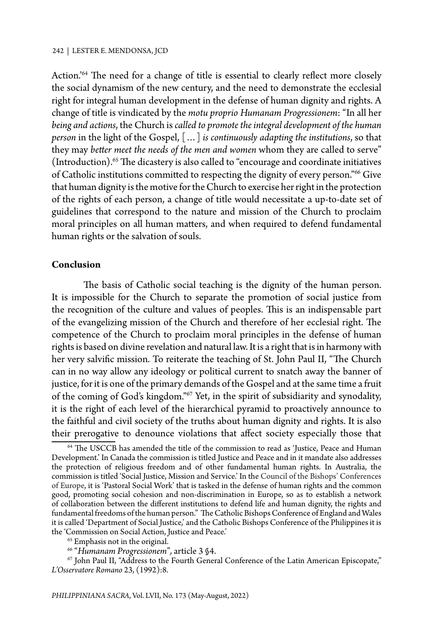Action.'64 The need for a change of title is essential to clearly reflect more closely the social dynamism of the new century, and the need to demonstrate the ecclesial right for integral human development in the defense of human dignity and rights. A change of title is vindicated by the *motu proprio Humanam Progressionem*: "In all her *being and actions*, the Church is *called to promote the integral development of the human person* in the light of the Gospel, […] *is continuously adapting the institutions*, so that they may *better meet the needs of the men and women* whom they are called to serve" (Introduction).65 The dicastery is also called to "encourage and coordinate initiatives of Catholic institutions committed to respecting the dignity of every person."<sup>66</sup> Give that human dignity is the motive for the Church to exercise her right in the protection of the rights of each person, a change of title would necessitate a up-to-date set of guidelines that correspond to the nature and mission of the Church to proclaim moral principles on all human matters, and when required to defend fundamental human rights or the salvation of souls.

## **Conclusion**

The basis of Catholic social teaching is the dignity of the human person. It is impossible for the Church to separate the promotion of social justice from the recognition of the culture and values of peoples. This is an indispensable part of the evangelizing mission of the Church and therefore of her ecclesial right. The competence of the Church to proclaim moral principles in the defense of human rights is based on divine revelation and natural law. It is a right that is in harmony with her very salvific mission. To reiterate the teaching of St. John Paul II, "The Church can in no way allow any ideology or political current to snatch away the banner of justice, for it is one of the primary demands of the Gospel and at the same time a fruit of the coming of God's kingdom."67 Yet, in the spirit of subsidiarity and synodality, it is the right of each level of the hierarchical pyramid to proactively announce to the faithful and civil society of the truths about human dignity and rights. It is also their prerogative to denounce violations that affect society especially those that

<sup>64</sup> The USCCB has amended the title of the commission to read as 'Justice, Peace and Human Development.' In Canada the commission is titled Justice and Peace and in it mandate also addresses the protection of religious freedom and of other fundamental human rights. In Australia, the commission is titled 'Social Justice, Mission and Service.' In the Council of the Bishops' Conferences of Europe, it is 'Pastoral Social Work' that is tasked in the defense of human rights and the common good, promoting social cohesion and non-discrimination in Europe, so as to establish a network of collaboration between the different institutions to defend life and human dignity, the rights and fundamental freedoms of the human person." The Catholic Bishops Conference of England and Wales it is called 'Department of Social Justice,' and the Catholic Bishops Conference of the Philippines it is the 'Commission on Social Action, Justice and Peace.'

 $^{65}$  Emphasis not in the original.<br> $^{66}$  "Humanam Progressionem", article 3  $\$4.$ 

<sup>&</sup>lt;sup>67</sup> John Paul II, "Address to the Fourth General Conference of the Latin American Episcopate," *L'Osservatore Romano* 23, (1992):8.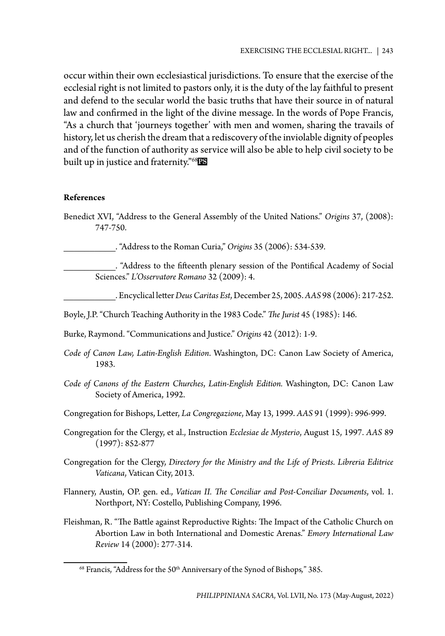occur within their own ecclesiastical jurisdictions. To ensure that the exercise of the ecclesial right is not limited to pastors only, it is the duty of the lay faithful to present and defend to the secular world the basic truths that have their source in of natural law and confirmed in the light of the divine message. In the words of Pope Francis, "As a church that 'journeys together' with men and women, sharing the travails of history, let us cherish the dream that a rediscovery of the inviolable dignity of peoples and of the function of authority as service will also be able to help civil society to be built up in justice and fraternity."<sup>68</sup>RS

## **References**

Benedict XVI, "Address to the General Assembly of the United Nations." *Origins* 37, (2008): 747-750.

\_\_\_\_\_\_\_\_\_\_. "Address to the Roman Curia," *Origins* 35 (2006): 534-539.

\_\_\_\_\_\_\_\_\_\_. "Address to the fifteenth plenary session of the Pontifical Academy of Social Sciences." *L'Osservatore Romano* 32 (2009): 4.

\_\_\_\_\_\_\_\_\_\_. Encyclical letter *Deus Caritas Est*, December 25, 2005. *AAS* 98 (2006): 217-252.

Boyle, J.P. "Church Teaching Authority in the 1983 Code." *The Jurist* 45 (1985): 146.

Burke, Raymond. "Communications and Justice." *Origins* 42 (2012): 1-9.

- *Code of Canon Law, Latin-English Edition*. Washington, DC: Canon Law Society of America, 1983.
- *Code of Canons of the Eastern Churches*, *Latin-English Edition.* Washington, DC: Canon Law Society of America, 1992.

Congregation for Bishops, Letter, *La Congregazione*, May 13, 1999. *AAS* 91 (1999): 996-999.

- Congregation for the Clergy, et al., Instruction *Ecclesiae de Mysterio*, August 15, 1997. *AAS* 89 (1997): 852-877
- Congregation for the Clergy, *Directory for the Ministry and the Life of Priests*. *Libreria Editrice Vaticana*, Vatican City, 2013.
- Flannery, Austin, OP. gen. ed., *Vatican II. The Conciliar and Post-Conciliar Documents*, vol. 1. Northport, NY: Costello, Publishing Company, 1996.
- Fleishman, R. "The Battle against Reproductive Rights: The Impact of the Catholic Church on Abortion Law in both International and Domestic Arenas." *Emory International Law Review* 14 (2000): 277-314.

<sup>&</sup>lt;sup>68</sup> Francis, "Address for the 50<sup>th</sup> Anniversary of the Synod of Bishops," 385.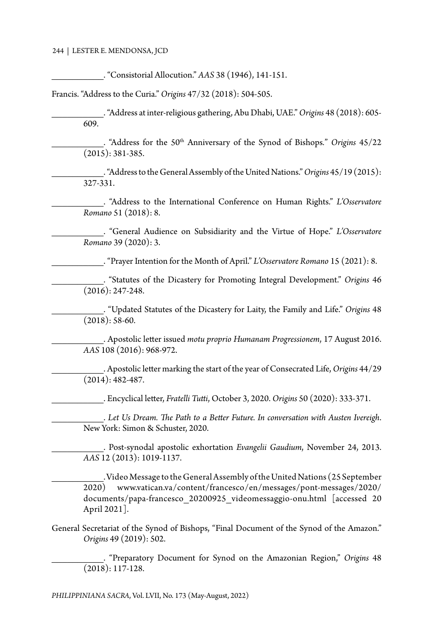\_\_\_\_\_\_\_\_\_\_. "Consistorial Allocution." *AAS* 38 (1946), 141-151.

Francis. "Address to the Curia." *Origins* 47/32 (2018): 504-505.

\_\_\_\_\_\_\_\_\_\_. "Address at inter-religious gathering, Abu Dhabi, UAE." *Origins* 48 (2018): 605- 609.

\_\_\_\_\_\_\_\_\_\_. "Address for the 50th Anniversary of the Synod of Bishops*.*" *Origins* 45/22 (2015): 381-385.

\_\_\_\_\_\_\_\_\_\_. "Address to the General Assembly of the United Nations." *Origins* 45/19 (2015): 327-331.

\_\_\_\_\_\_\_\_\_\_. "Address to the International Conference on Human Rights." *L'Osservatore Romano* 51 (2018): 8.

\_\_\_\_\_\_\_\_\_\_. "General Audience on Subsidiarity and the Virtue of Hope." *L'Osservatore Romano* 39 (2020): 3.

\_\_\_\_\_\_\_\_\_\_. "Prayer Intention for the Month of April." *L'Osservatore Romano* 15 (2021): 8.

\_\_\_\_\_\_\_\_\_\_. "Statutes of the Dicastery for Promoting Integral Development." *Origins* 46 (2016): 247-248.

\_\_\_\_\_\_\_\_\_\_. "Updated Statutes of the Dicastery for Laity, the Family and Life." *Origins* 48  $(2018): 58-60.$ 

\_\_\_\_\_\_\_\_\_\_. Apostolic letter issued *motu proprio Humanam Progressionem*, 17 August 2016. *AAS* 108 (2016): 968-972.

\_\_\_\_\_\_\_\_\_\_. Apostolic letter marking the start of the year of Consecrated Life, *Origins* 44/29 (2014): 482-487.

\_\_\_\_\_\_\_\_\_\_. Encyclical letter, *Fratelli Tutti*, October 3, 2020. *Origins* 50 (2020): 333-371.

\_\_\_\_\_\_\_\_\_\_. *Let Us Dream. The Path to a Better Future. In conversation with Austen Ivereigh*. New York: Simon & Schuster, 2020.

\_\_\_\_\_\_\_\_\_\_. Post-synodal apostolic exhortation *Evangelii Gaudium*, November 24, 2013. *AAS* 12 (2013): 1019-1137.

\_\_\_\_\_\_\_\_\_\_. Video Message to the General Assembly of the United Nations (25 September 2020) www.vatican.va/content/francesco/en/messages/pont-messages/2020/ documents/papa-francesco\_20200925\_videomessaggio-onu.html [accessed 20 April 2021].

General Secretariat of the Synod of Bishops, "Final Document of the Synod of the Amazon." *Origins* 49 (2019): 502.

\_\_\_\_\_\_\_\_\_\_. "Preparatory Document for Synod on the Amazonian Region," *Origins* 48 (2018): 117-128.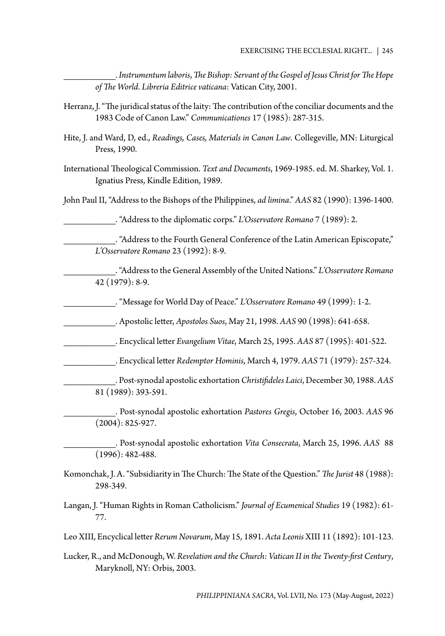\_\_\_\_\_\_\_\_\_\_. *Instrumentum laboris*, *The Bishop: Servant of the Gospel of Jesus Christ for The Hope of The World*. *Libreria Editrice vaticana*: Vatican City, 2001.

- Herranz, J. "The juridical status of the laity: The contribution of the conciliar documents and the 1983 Code of Canon Law." *Communicationes* 17 (1985): 287-315.
- Hite, J. and Ward, D, ed., *Readings, Cases, Materials in Canon Law*. Collegeville, MN: Liturgical Press, 1990.
- International Theological Commission. *Text and Documents*, 1969-1985. ed. M. Sharkey, Vol. 1. Ignatius Press, Kindle Edition, 1989.

John Paul II, "Address to the Bishops of the Philippines, *ad limina*." *AAS* 82 (1990): 1396-1400.

\_\_\_\_\_\_\_\_\_\_. "Address to the diplomatic corps." *L'Osservatore Romano* 7 (1989): 2.

\_\_\_\_\_\_\_\_\_\_. "Address to the Fourth General Conference of the Latin American Episcopate," *L'Osservatore Romano* 23 (1992): 8-9.

\_\_\_\_\_\_\_\_\_\_. "Address to the General Assembly of the United Nations." *L'Osservatore Romano*  42 (1979): 8-9.

\_\_\_\_\_\_\_\_\_\_. "Message for World Day of Peace." *L'Osservatore Romano* 49 (1999): 1-2.

\_\_\_\_\_\_\_\_\_\_. Apostolic letter, *Apostolos Suos*, May 21, 1998. *AAS* 90 (1998): 641-658.

\_\_\_\_\_\_\_\_\_\_. Encyclical letter *Evangelium Vitae*, March 25, 1995. *AAS* 87 (1995): 401-522.

\_\_\_\_\_\_\_\_\_\_. Encyclical letter *Redemptor Hominis*, March 4, 1979. *AAS* 71 (1979): 257-324.

\_\_\_\_\_\_\_\_\_\_. Post-synodal apostolic exhortation *Christifideles Laici*, December 30, 1988. *AAS*  81 (1989): 393-591.

\_\_\_\_\_\_\_\_\_\_. Post-synodal apostolic exhortation *Pastores Gregis*, October 16, 2003. *AAS* 96 (2004): 825-927.

\_\_\_\_\_\_\_\_\_\_. Post-synodal apostolic exhortation *Vita Consecrata*, March 25, 1996. *AAS* 88 (1996): 482-488.

- Komonchak, J. A. "Subsidiarity in The Church: The State of the Question." *The Jurist* 48 (1988): 298-349.
- Langan, J. "Human Rights in Roman Catholicism." *Journal of Ecumenical Studies* 19 (1982): 61- 77.

Leo XIII, Encyclical letter *Rerum Novarum*, May 15, 1891. *Acta Leonis* XIII 11 (1892): 101-123.

Lucker, R., and McDonough, W. *Revelation and the Church: Vatican II in the Twenty-first Century*, Maryknoll, NY: Orbis, 2003.